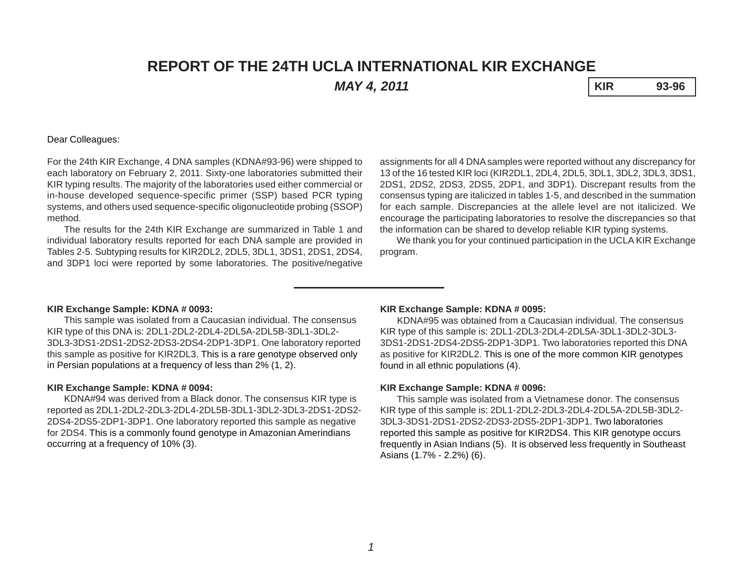# **REPORT OF THE 24TH UCLA INTERNATIONAL KIR EXCHANGE**

*MAY 4, 2011* **KIR 93-96**

# Dear Colleagues:

For the 24th KIR Exchange, 4 DNA samples (KDNA#93-96) were shipped to each laboratory on February 2, 2011. Sixty-one laboratories submitted their KIR typing results. The majority of the laboratories used either commercial or in-house developed sequence-specific primer (SSP) based PCR typing systems, and others used sequence-specific oligonucleotide probing (SSOP) method.

The results for the 24th KIR Exchange are summarized in Table 1 and individual laboratory results reported for each DNA sample are provided in Tables 2-5. Subtyping results for KIR2DL2, 2DL5, 3DL1, 3DS1, 2DS1, 2DS4, and 3DP1 loci were reported by some laboratories. The positive/negative

assignments for all 4 DNA samples were reported without any discrepancy for 13 of the 16 tested KIR loci (KIR2DL1, 2DL4, 2DL5, 3DL1, 3DL2, 3DL3, 3DS1, 2DS1, 2DS2, 2DS3, 2DS5, 2DP1, and 3DP1). Discrepant results from the consensus typing are italicized in tables 1-5, and described in the summation for each sample. Discrepancies at the allele level are not italicized. We encourage the participating laboratories to resolve the discrepancies so that the information can be shared to develop reliable KIR typing systems.

We thank you for your continued participation in the UCLA KIR Exchange program.

#### **KIR Exchange Sample: KDNA # 0093:**

This sample was isolated from a Caucasian individual. The consensus KIR type of this DNA is: 2DL1-2DL2-2DL4-2DL5A-2DL5B-3DL1-3DL2- 3DL3-3DS1-2DS1-2DS2-2DS3-2DS4-2DP1-3DP1. One laboratory reported this sample as positive for KIR2DL3. This is a rare genotype observed only in Persian populations at a frequency of less than 2% (1, 2).

#### **KIR Exchange Sample: KDNA # 0094:**

KDNA#94 was derived from a Black donor. The consensus KIR type is reported as 2DL1-2DL2-2DL3-2DL4-2DL5B-3DL1-3DL2-3DL3-2DS1-2DS2- 2DS4-2DS5-2DP1-3DP1. One laboratory reported this sample as negative for 2DS4. This is a commonly found genotype in Amazonian Amerindians occurring at a frequency of 10% (3).

#### **KIR Exchange Sample: KDNA # 0095:**

KDNA#95 was obtained from a Caucasian individual. The consensus KIR type of this sample is: 2DL1-2DL3-2DL4-2DL5A-3DL1-3DL2-3DL3- 3DS1-2DS1-2DS4-2DS5-2DP1-3DP1. Two laboratories reported this DNA as positive for KIR2DL2. This is one of the more common KIR genotypes found in all ethnic populations (4).

#### **KIR Exchange Sample: KDNA # 0096:**

This sample was isolated from a Vietnamese donor. The consensus KIR type of this sample is: 2DL1-2DL2-2DL3-2DL4-2DL5A-2DL5B-3DL2- 3DL3-3DS1-2DS1-2DS2-2DS3-2DS5-2DP1-3DP1. Two laboratories reported this sample as positive for KIR2DS4. This KIR genotype occurs frequently in Asian Indians (5). It is observed less frequently in Southeast Asians (1.7% - 2.2%) (6).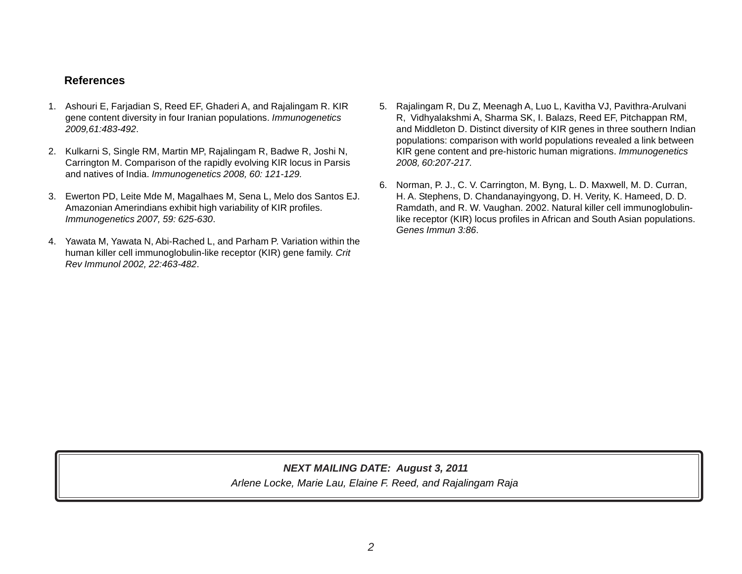# **References**

- 1. Ashouri E, Farjadian S, Reed EF, Ghaderi A, and Rajalingam R. KIR gene content diversity in four Iranian populations. *Immunogenetics 2009,61:483-492*.
- 2. Kulkarni S, Single RM, Martin MP, Rajalingam R, Badwe R, Joshi N, Carrington M. Comparison of the rapidly evolving KIR locus in Parsis and natives of India. *Immunogenetics 2008, 60: 121-129.*
- 3. Ewerton PD, Leite Mde M, Magalhaes M, Sena L, Melo dos Santos EJ. Amazonian Amerindians exhibit high variability of KIR profiles. *Immunogenetics 2007, 59: 625-630*.
- 4. Yawata M, Yawata N, Abi-Rached L, and Parham P. Variation within the human killer cell immunoglobulin-like receptor (KIR) gene family. *Crit Rev Immunol 2002, 22:463-482*.
- 5. Rajalingam R, Du Z, Meenagh A, Luo L, Kavitha VJ, Pavithra-Arulvani R, Vidhyalakshmi A, Sharma SK, I. Balazs, Reed EF, Pitchappan RM, and Middleton D. Distinct diversity of KIR genes in three southern Indian populations: comparison with world populations revealed a link between KIR gene content and pre-historic human migrations. *Immunogenetics 2008, 60:207-217.*
- 6. Norman, P. J., C. V. Carrington, M. Byng, L. D. Maxwell, M. D. Curran, H. A. Stephens, D. Chandanayingyong, D. H. Verity, K. Hameed, D. D. Ramdath, and R. W. Vaughan. 2002. Natural killer cell immunoglobulinlike receptor (KIR) locus profiles in African and South Asian populations. *Genes Immun 3:86*.

*Arlene Locke, Marie Lau, Elaine F. Reed, and Rajalingam Raja NEXT MAILING DATE: August 3, 2011*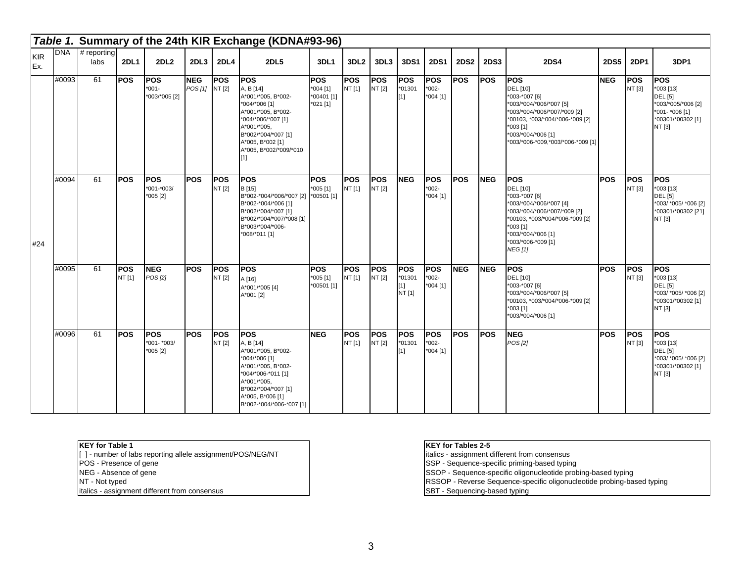|                   |            |                       |                      |                                        |                       |                      | Table 1. Summary of the 24th KIR Exchange (KDNA#93-96)                                                                                                                                                  |                                                      |                      |                      |                                       |                                   |             |             |                                                                                                                                                                                                                 |             |                      |                                                                                                                  |
|-------------------|------------|-----------------------|----------------------|----------------------------------------|-----------------------|----------------------|---------------------------------------------------------------------------------------------------------------------------------------------------------------------------------------------------------|------------------------------------------------------|----------------------|----------------------|---------------------------------------|-----------------------------------|-------------|-------------|-----------------------------------------------------------------------------------------------------------------------------------------------------------------------------------------------------------------|-------------|----------------------|------------------------------------------------------------------------------------------------------------------|
| <b>KIR</b><br>Ex. | <b>DNA</b> | $#$ reporting<br>labs | <b>2DL1</b>          | 2DL2                                   | 2DL3                  | <b>2DL4</b>          | <b>2DL5</b>                                                                                                                                                                                             | 3DL1                                                 | 3DL <sub>2</sub>     | 3DL3                 | 3DS1                                  | <b>2DS1</b>                       | <b>2DS2</b> | <b>2DS3</b> | <b>2DS4</b>                                                                                                                                                                                                     | <b>2DS5</b> | <b>2DP1</b>          | 3DP1                                                                                                             |
|                   | #0093      | 61                    | <b>POS</b>           | <b>POS</b><br>$*001-$<br>*003/*005 [2] | <b>NEG</b><br>POS [1] | <b>POS</b><br>NT [2] | <b>POS</b><br>A, B [14]<br>A*001/*005, B*002-<br>*004/*006 [1]<br>A*001/*005, B*002-<br>*004/*006/*007 [1]<br>A*001/*005,<br>B*002/*004/*007 [1]<br>A*005, B*002 [1]<br>A*005, B*002/*009/*010<br>$[1]$ | <b>POS</b><br>$*004$ [1]<br>*00401 [1]<br>$*021$ [1] | <b>POS</b><br>NT [1] | <b>POS</b><br>NT [2] | POS<br>$*01301$<br>[1]                | POS<br>$*002-$<br>$*004$ [1]      | POS         | <b>POS</b>  | POS<br>DEL [10]<br>*003-*007 [6]<br>*003/*004/*006/*007 [5]<br>*003/*004/*006/*007/*009 [2]<br>*00103, *003/*004/*006-*009 [2]<br>$*003$ [1]<br>*003/*004/*006 [1]<br>*003/*006-*009,*003/*006-*009 [1]         | <b>NEG</b>  | POS<br>NT [3]        | <b>POS</b><br>*003 [13]<br><b>DEL</b> [5]<br>*003/*005/*006 [2]<br>*001- *006 [1]<br>*00301/*00302 [1]<br>NT [3] |
| #24               | #0094      | 61                    | <b>POS</b>           | <b>POS</b><br>*001-*003/<br>$*005$ [2] | <b>POS</b>            | <b>POS</b><br>NT [2] | <b>POS</b><br>B [15]<br>B*002-*004/*006/*007 [2] *00501 [1]<br>B*002-*004/*006 [1]<br>B*002/*004/*007 [1]<br>B*002/*004/*007/*008 [1]<br>B*003/*004/*006-<br>*008/*011 [1]                              | <b>POS</b><br>$*005$ [1]                             | <b>POS</b><br>NT [1] | <b>POS</b><br>NT [2] | <b>NEG</b>                            | <b>POS</b><br>$*002-$<br>*004 [1] | <b>POS</b>  | <b>NEG</b>  | POS<br><b>DEL</b> [10]<br>*003-*007 [6]<br>*003/*004/*006/*007 [4]<br>*003/*004/*006/*007/*009 [2]<br>*00103, *003/*004/*006-*009 [2]<br>*003 [1]<br>*003/*004/*006 [1]<br>*003/*006-*009 [1]<br><b>NEG [1]</b> | <b>POS</b>  | <b>POS</b><br>NT [3] | <b>POS</b><br>*003 [13]<br><b>DEL</b> [5]<br>*003/ *005/ *006 [2]<br>*00301/*00302 [21]<br>NT [3]                |
|                   | #0095      | 61                    | <b>POS</b><br>NT [1] | <b>NEG</b><br>POS [2]                  | <b>POS</b>            | <b>POS</b><br>NT [2] | <b>POS</b><br>A[16]<br>A*001/*005 [4]<br>A*001 [2]                                                                                                                                                      | <b>POS</b><br>$*005$ [1]<br>*00501 [1]               | POS<br>NT [1]        | <b>POS</b><br>NT [2] | <b>POS</b><br>*01301<br>[1]<br>NT [1] | <b>POS</b><br>$*002-$<br>*004 [1] | <b>NEG</b>  | <b>NEG</b>  | POS<br>DEL [10]<br>*003-*007 [6]<br>*003/*004/*006/*007 [5]<br>*00103, *003/*004/*006-*009 [2]<br>$*003$ [1]<br>*003/*004/*006 [1]                                                                              | <b>POS</b>  | POS<br>NT [3]        | <b>POS</b><br>*003 [13]<br><b>DEL</b> [5]<br>*003/ *005/ *006 [2]<br>*00301/*00302 [1]<br>NT [3]                 |
|                   | #0096      | 61                    | <b>POS</b>           | <b>POS</b><br>*001- *003/<br>$*005[2]$ | <b>POS</b>            | <b>POS</b><br>NT [2] | <b>POS</b><br>A, B [14]<br>A*001/*005, B*002-<br>*004/*006 [1]<br>A*001/*005, B*002-<br>*004/*006-*011 [1]<br>A*001/*005.<br>B*002/*004/*007 [1]<br>A*005, B*006 [1]<br>B*002-*004/*006-*007 [1]        | <b>NEG</b>                                           | <b>POS</b><br>NT [1] | <b>POS</b><br>NT [2] | <b>POS</b><br>*01301<br>[1]           | POS<br>$*002-$<br>$*004$ [1]      | <b>POS</b>  | <b>POS</b>  | <b>NEG</b><br>POS [2]                                                                                                                                                                                           | <b>POS</b>  | <b>POS</b><br>NT [3] | <b>POS</b><br>$*003$ [13]<br><b>DEL</b> [5]<br>*003/ *005/ *006 [2]<br>*00301/*00302 [1]<br>NT [3]               |

### **KEY for Table 1**

[ ] - number of labs reporting allele assignment/POS/NEG/NT POS - Presence of gene NEG - Absence of gene NT - Not typed italics - assignment different from consensus

## **KEY for Tables 2-5**

italics - assignment different from consensus

SSP - Sequence-specific priming-based typing

SSOP - Sequence-specific oligonucleotide probing-based typing

RSSOP - Reverse Sequence-specific oligonucleotide probing-based typing

SBT - Sequencing-based typing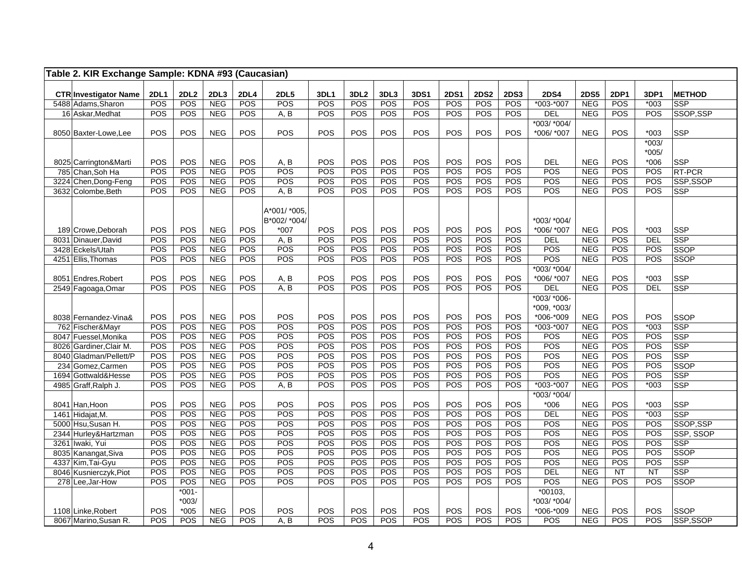| Table 2. KIR Exchange Sample: KDNA #93 (Caucasian) |                    |             |                          |             |                                        |                    |             |             |             |                    |                    |                    |                            |                           |             |                |                             |
|----------------------------------------------------|--------------------|-------------|--------------------------|-------------|----------------------------------------|--------------------|-------------|-------------|-------------|--------------------|--------------------|--------------------|----------------------------|---------------------------|-------------|----------------|-----------------------------|
|                                                    |                    |             |                          |             |                                        |                    |             |             |             |                    |                    |                    |                            |                           |             |                |                             |
| <b>CTR Investigator Name</b><br>5488 Adams, Sharon | <b>2DL1</b><br>POS | 2DL2<br>POS | 2DL3<br><b>NEG</b>       | 2DL4<br>POS | <b>2DL5</b><br>POS                     | <b>3DL1</b><br>POS | 3DL2<br>POS | 3DL3<br>POS | 3DS1<br>POS | <b>2DS1</b><br>POS | <b>2DS2</b><br>POS | <b>2DS3</b><br>POS | <b>2DS4</b><br>$*003-*007$ | <b>2DS5</b><br><b>NEG</b> | 2DP1<br>POS | 3DP1<br>$*003$ | <b>METHOD</b><br><b>SSP</b> |
| 16 Askar, Medhat                                   | POS                | POS         | <b>NEG</b>               | POS         | A, B                                   | POS                | POS         | POS         | POS         | POS                | POS                | POS                | <b>DEL</b>                 | <b>NEG</b>                | POS         | POS            | SSOP,SSP                    |
|                                                    |                    |             |                          |             |                                        |                    |             |             |             |                    |                    |                    | *003/ *004/                |                           |             |                |                             |
| 8050 Baxter-Lowe, Lee                              | POS                | POS         | <b>NEG</b>               | POS         | POS                                    | POS                | POS         | POS         | POS         | POS                | POS                | POS                | *006/ *007                 | <b>NEG</b>                | POS         | $*003$         | SSP                         |
|                                                    |                    |             |                          |             |                                        |                    |             |             |             |                    |                    |                    |                            |                           |             | $*003/$        |                             |
|                                                    |                    |             |                          |             |                                        |                    |             |             |             |                    |                    |                    |                            |                           |             | $*005/$        |                             |
| 8025 Carrington&Marti                              | POS                | POS         | <b>NEG</b>               | POS         | A, B                                   | POS                | POS         | POS         | POS         | POS                | POS                | POS                | <b>DEL</b>                 | <b>NEG</b>                | POS         | $*006$         | SSP                         |
| 785 Chan, Soh Ha                                   | POS                | POS         | <b>NEG</b>               | POS         | POS                                    | POS                | POS         | POS         | POS         | POS                | POS                | POS                | POS                        | <b>NEG</b>                | POS         | POS            | RT-PCR                      |
| 3224 Chen, Dong-Feng                               | POS                | POS         | <b>NEG</b>               | POS         | POS                                    | POS                | POS         | POS         | POS         | POS                | POS                | POS                | POS                        | <b>NEG</b>                | POS         | POS            | SSP,SSOP                    |
| 3632 Colombe, Beth                                 | POS                | POS         | <b>NEG</b>               | POS         | A, B                                   | POS                | POS         | POS         | POS         | POS                | POS                | POS                | POS                        | <b>NEG</b>                | POS         | POS            | <b>SSP</b>                  |
| 189 Crowe. Deborah                                 | POS                | POS         | <b>NEG</b>               | POS         | A*001/ *005.<br>B*002/ *004/<br>$*007$ | POS                | POS         | POS         | POS         | POS                | POS                | POS                | *003/ *004/<br>*006/ *007  | <b>NEG</b>                | POS         | $*003$         | SSP                         |
| 8031 Dinauer, David                                | POS                | POS         | <b>NEG</b>               | POS         | A, B                                   | POS                | POS         | POS         | POS         | POS                | POS                | POS                | DEL                        | <b>NEG</b>                | POS         | <b>DEL</b>     | <b>SSP</b>                  |
| 3428 Eckels/Utah                                   | POS                | POS         | <b>NEG</b>               | POS         | POS                                    | POS                | POS         | POS         | POS         | POS                | POS                | POS                | POS                        | <b>NEG</b>                | POS         | POS            | SSOP                        |
| 4251 Ellis, Thomas                                 | <b>POS</b>         | POS         | <b>NEG</b>               | POS         | POS                                    | POS                | POS         | POS         | POS         | POS                | POS                | POS                | POS                        | <b>NEG</b>                | POS         | POS            | <b>SSOP</b>                 |
|                                                    |                    |             |                          |             |                                        |                    |             |             |             |                    |                    |                    | *003/ *004/                |                           |             |                |                             |
| 8051 Endres, Robert                                | POS                | POS         | <b>NEG</b>               | POS         | A, B                                   | POS                | POS         | POS         | POS         | POS                | POS                | POS                | *006/ *007                 | <b>NEG</b>                | POS         | $*003$         | SSP                         |
| 2549 Fagoaga, Omar                                 | POS                | POS         | <b>NEG</b>               | POS         | A, B                                   | POS                | POS         | POS         | POS         | POS                | POS                | POS                | <b>DEL</b>                 | <b>NEG</b>                | POS         | <b>DEL</b>     | <b>SSP</b>                  |
|                                                    |                    |             |                          |             |                                        |                    |             |             |             |                    |                    |                    | *003/ *006-                |                           |             |                |                             |
|                                                    |                    |             |                          |             |                                        |                    |             |             |             |                    |                    |                    | *009, *003/                |                           |             |                |                             |
| 8038 Fernandez-Vina&                               | POS                | POS         | <b>NEG</b>               | POS         | POS                                    | POS                | POS         | POS         | POS         | POS                | POS                | POS                | *006-*009                  | <b>NEG</b>                | POS         | POS            | SSOP                        |
| 762 Fischer&Mayr                                   | POS                | POS         | <b>NEG</b>               | POS         | POS                                    | POS                | POS         | POS         | POS         | POS                | POS                | POS                | $*003.*007$                | <b>NEG</b>                | POS         | $*003$         | <b>SSP</b>                  |
| 8047 Fuessel.Monika                                | POS                | POS         | <b>NEG</b>               | POS         | POS                                    | POS                | POS         | POS         | POS         | POS                | POS                | POS                | POS                        | <b>NEG</b>                | POS         | POS            | SSP                         |
| 8026 Gardiner, Clair M.                            | POS                | POS         | <b>NEG</b>               | POS         | POS                                    | POS                | POS         | POS         | POS         | POS                | POS                | POS                | POS                        | <b>NEG</b>                | POS         | POS            | <b>SSP</b>                  |
| 8040 Gladman/Pellett/P                             | POS                | POS         | <b>NEG</b>               | POS         | POS                                    | POS                | POS         | POS         | POS         | POS                | POS                | POS                | POS                        | <b>NEG</b>                | POS         | POS            | <b>SSP</b>                  |
| 234 Gomez, Carmen                                  | POS<br>POS         | POS<br>POS  | <b>NEG</b><br><b>NEG</b> | POS<br>POS  | POS<br>POS                             | POS<br>POS         | POS<br>POS  | POS<br>POS  | POS<br>POS  | POS<br>POS         | POS<br>POS         | POS<br>POS         | POS<br>POS                 | <b>NEG</b><br><b>NEG</b>  | POS<br>POS  | POS<br>POS     | SSOP                        |
| 1694 Gottwald&Hesse<br>4985 Graff, Ralph J.        | POS                | POS         | <b>NEG</b>               | POS         | A, B                                   | POS                | POS         | POS         | POS         | POS                | POS                | POS                | $*003 - *007$              | <b>NEG</b>                | POS         | $*003$         | <b>SSP</b><br><b>SSP</b>    |
|                                                    |                    |             |                          |             |                                        |                    |             |             |             |                    |                    |                    | *003/ *004/                |                           |             |                |                             |
| 8041 Han, Hoon                                     | POS                | POS         | <b>NEG</b>               | POS         | POS                                    | POS                | POS         | POS         | POS         | POS                | POS                | POS                | $*006$                     | <b>NEG</b>                | POS         | $*003$         | SSP                         |
| 1461 Hidajat, M.                                   | POS                | POS         | <b>NEG</b>               | POS         | POS                                    | POS                | POS         | POS         | POS         | POS                | <b>POS</b>         | POS                | <b>DEL</b>                 | <b>NEG</b>                | POS         | $*003$         | SSP                         |
| 5000 Hsu, Susan H.                                 | POS                | POS         | <b>NEG</b>               | POS         | POS                                    | POS                | POS         | POS         | POS         | POS                | POS                | POS                | POS                        | <b>NEG</b>                | POS         | POS            | SSOP, SSP                   |
| 2344 Hurley&Hartzman                               | POS                | POS         | <b>NEG</b>               | POS         | POS                                    | POS                | POS         | POS         | POS         | POS                | POS                | POS                | POS                        | <b>NEG</b>                | POS         | POS            | SSP, SSOP                   |
| 3261 Iwaki, Yui                                    | POS                | POS         | <b>NEG</b>               | POS         | POS                                    | POS                | POS         | POS         | POS         | POS                | POS                | POS                | POS                        | <b>NEG</b>                | POS         | POS            | <b>SSP</b>                  |
| 8035 Kanangat, Siva                                | POS                | POS         | <b>NEG</b>               | POS         | POS                                    | POS                | POS         | POS         | POS         | POS                | POS                | POS                | POS                        | <b>NEG</b>                | POS         | POS            | SSOP                        |
| 4337 Kim, Tai-Gyu                                  | POS                | POS         | <b>NEG</b>               | POS         | POS                                    | POS                | POS         | POS         | POS         | POS                | POS                | POS                | POS                        | <b>NEG</b>                | POS         | POS            | <b>SSP</b>                  |
| 8046 Kusnierczyk, Piot                             | POS                | POS         | <b>NEG</b>               | POS         | POS                                    | POS                | POS         | POS         | POS         | POS                | POS                | <b>POS</b>         | <b>DEL</b>                 | <b>NEG</b>                | <b>NT</b>   | <b>NT</b>      | SSP                         |
| 278 Lee, Jar-How                                   | POS                | POS         | <b>NEG</b>               | POS         | POS                                    | POS                | POS         | POS         | POS         | POS                | POS                | POS                | POS                        | <b>NEG</b>                | POS         | POS            | <b>SSOP</b>                 |
|                                                    |                    | $*001 -$    |                          |             |                                        |                    |             |             |             |                    |                    |                    | $*00103,$                  |                           |             |                |                             |
|                                                    |                    | $*003/$     |                          |             |                                        |                    |             |             |             |                    |                    |                    | *003/ *004/                |                           |             |                |                             |
| 1108 Linke, Robert                                 | POS                | $*005$      | <b>NEG</b>               | POS         | POS                                    | POS                | POS         | POS         | POS         | POS                | POS                | POS                | *006-*009                  | <b>NEG</b>                | POS         | POS            | SSOP                        |
| 8067 Marino, Susan R.                              | POS                | POS         | <b>NEG</b>               | POS         | A, B                                   | POS                | POS         | POS         | POS         | POS                | POS                | POS                | POS                        | <b>NEG</b>                | POS         | POS            | SSP,SSOP                    |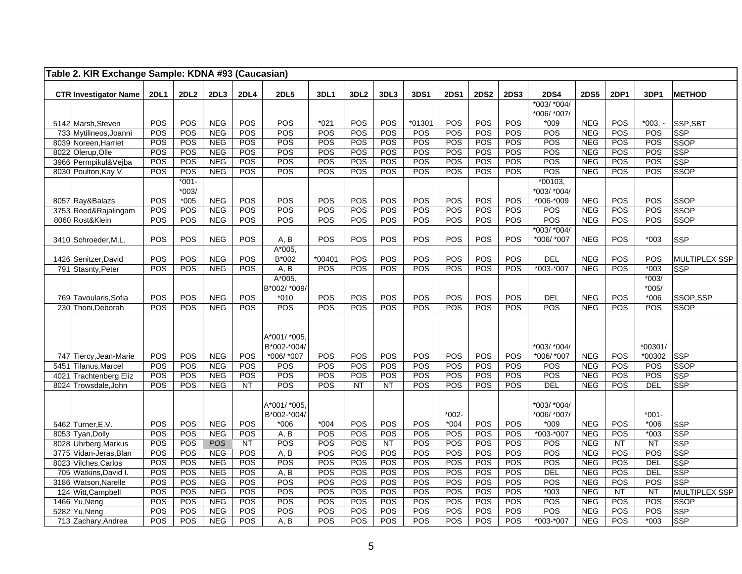| Table 2. KIR Exchange Sample: KDNA #93 (Caucasian) |             |                   |                          |                  |                        |             |                  |                  |            |             |             |             |                          |                          |                  |                    |                           |
|----------------------------------------------------|-------------|-------------------|--------------------------|------------------|------------------------|-------------|------------------|------------------|------------|-------------|-------------|-------------|--------------------------|--------------------------|------------------|--------------------|---------------------------|
| <b>CTR Investigator Name</b>                       | <b>2DL1</b> | 2DL <sub>2</sub>  | 2DL3                     | 2DL4             | <b>2DL5</b>            | <b>3DL1</b> | 3DL <sub>2</sub> | 3DL3             | 3DS1       | <b>2DS1</b> | <b>2DS2</b> | <b>2DS3</b> | <b>2DS4</b>              | <b>2DS5</b>              | <b>2DP1</b>      | 3DP1               | <b>METHOD</b>             |
|                                                    |             |                   |                          |                  |                        |             |                  |                  |            |             |             |             | *003/ *004/              |                          |                  |                    |                           |
| 5142 Marsh, Steven                                 | POS         | POS               | <b>NEG</b>               | POS              | POS                    | $*021$      | POS              | POS              | *01301     | POS         | POS         | POS         | *006/ *007/<br>$*009$    | <b>NEG</b>               | POS              | $*003. -$          | SSP, SBT                  |
| 733 Mytilineos, Joanni                             | POS         | POS               | <b>NEG</b>               | POS              | POS                    | POS         | POS              | POS              | POS        | POS         | POS         | POS         | POS                      | <b>NEG</b>               | POS              | POS                | <b>SSP</b>                |
| 8039 Noreen, Harriet                               | POS         | POS               | <b>NEG</b>               | POS              | POS                    | POS         | POS              | POS              | POS        | POS         | POS         | POS         | POS                      | <b>NEG</b>               | POS              | POS                | <b>SSOP</b>               |
| 8022 Olerup, Olle                                  | POS         | POS               | <b>NEG</b>               | POS              | POS                    | POS         | POS              | POS              | POS        | POS         | POS         | POS         | POS                      | <b>NEG</b>               | POS              | POS                | <b>SSP</b>                |
| 3966 Permpikul&Vejba                               | POS         | POS               | <b>NEG</b>               | POS              | POS                    | POS         | POS              | POS              | POS        | POS         | POS         | POS         | POS                      | <b>NEG</b>               | POS              | POS                | <b>SSP</b>                |
| 8030 Poulton, Kay V.                               | <b>POS</b>  | POS               | <b>NEG</b>               | POS              | POS                    | POS         | POS              | POS              | POS        | POS         | POS         | POS         | POS                      | <b>NEG</b>               | POS              | POS                | SSOP                      |
|                                                    |             | $*001 -$          |                          |                  |                        |             |                  |                  |            |             |             |             | $*00103,$                |                          |                  |                    |                           |
|                                                    | POS         | $*003/$<br>$*005$ | <b>NEG</b>               | POS              | POS                    | POS         | POS              | POS              | POS        | POS         | POS         | POS         | *003/ *004/<br>*006-*009 | <b>NEG</b>               | POS              | POS                |                           |
| 8057 Ray&Balazs<br>3753 Reed&Rajalingam            | POS         | POS               | <b>NEG</b>               | POS              | POS                    | POS         | POS              | POS              | POS        | POS         | POS         | POS         | POS                      | <b>NEG</b>               | POS              | POS                | SSOP<br><b>SSOP</b>       |
| 8060 Rost&Klein                                    | <b>POS</b>  | POS               | <b>NEG</b>               | POS              | POS                    | POS         | POS              | POS              | POS        | POS         | POS         | POS         | POS                      | <b>NEG</b>               | POS              | POS                | <b>SSOP</b>               |
|                                                    |             |                   |                          |                  |                        |             |                  |                  |            |             |             |             | *003/ *004/              |                          |                  |                    |                           |
| 3410 Schroeder, M.L.                               | POS         | POS               | <b>NEG</b>               | POS              | A, B                   | POS         | POS              | POS              | POS        | POS         | POS         | POS         | *006/ *007               | <b>NEG</b>               | POS              | $*003$             | SSP                       |
|                                                    |             |                   |                          |                  | A*005,                 |             |                  |                  |            |             |             |             |                          |                          |                  |                    |                           |
| 1426 Senitzer, David                               | POS         | POS               | <b>NEG</b>               | POS              | B*002                  | $*00401$    | POS              | POS              | POS        | POS         | POS         | POS         | <b>DEL</b>               | <b>NEG</b>               | POS              | POS                | <b>MULTIPLEX SSP</b>      |
| 791 Stasnty, Peter                                 | POS         | POS               | <b>NEG</b>               | POS              | A, B                   | POS         | POS              | POS              | POS        | POS         | <b>POS</b>  | POS         | *003-*007                | <b>NEG</b>               | POS              | $*003$             | <b>SSP</b>                |
|                                                    |             |                   |                          |                  | A*005,<br>B*002/ *009/ |             |                  |                  |            |             |             |             |                          |                          |                  | $*003/$<br>$*005/$ |                           |
| 769 Tavoularis, Sofia                              | POS         | POS               | <b>NEG</b>               | <b>POS</b>       | $*010$                 | POS         | POS              | POS              | POS        | POS         | POS         | <b>POS</b>  | <b>DEL</b>               | <b>NEG</b>               | POS              | $*006$             | SSOP,SSP                  |
| 230 Thoni, Deborah                                 | POS         | POS               | <b>NEG</b>               | POS              | POS                    | POS         | POS              | POS              | POS        | POS         | POS         | POS         | POS                      | <b>NEG</b>               | POS              | POS                | SSOP                      |
|                                                    |             |                   |                          |                  |                        |             |                  |                  |            |             |             |             |                          |                          |                  |                    |                           |
|                                                    |             |                   |                          |                  |                        |             |                  |                  |            |             |             |             |                          |                          |                  |                    |                           |
|                                                    |             |                   |                          |                  | A*001/ *005.           |             |                  |                  |            |             |             |             |                          |                          |                  |                    |                           |
|                                                    |             |                   |                          |                  | B*002-*004/            |             |                  |                  |            |             |             |             | *003/ *004/              |                          |                  | *00301/            |                           |
| 747 Tiercy, Jean-Marie                             | POS<br>POS  | POS<br>POS        | <b>NEG</b><br><b>NEG</b> | POS<br>POS       | *006/ *007<br>POS      | POS<br>POS  | POS<br>POS       | POS<br>POS       | POS<br>POS | POS<br>POS  | POS<br>POS  | POS<br>POS  | *006/ *007<br>POS        | <b>NEG</b><br><b>NEG</b> | POS<br>POS       | *00302<br>POS      | SSP                       |
| 5451 Tilanus, Marcel<br>4021 Trachtenberg, Eliz    | POS         | POS               | <b>NEG</b>               | POS              | POS                    | POS         | POS              | POS              | POS        | POS         | POS         | POS         | POS                      | <b>NEG</b>               | POS              | POS                | <b>SSOP</b><br><b>SSP</b> |
| 8024 Trowsdale, John                               | POS         | POS               | <b>NEG</b>               | <b>NT</b>        | POS                    | POS         | <b>NT</b>        | <b>NT</b>        | POS        | POS         | POS         | POS         | DEL                      | <b>NEG</b>               | POS              | DEL                | <b>SSP</b>                |
|                                                    |             |                   |                          |                  |                        |             |                  |                  |            |             |             |             |                          |                          |                  |                    |                           |
|                                                    |             |                   |                          |                  | A*001/ *005.           |             |                  |                  |            |             |             |             | *003/ *004/              |                          |                  |                    |                           |
|                                                    |             |                   |                          |                  | B*002-*004/            |             |                  |                  |            | $*002-$     |             |             | *006/ *007/              |                          |                  | $*001 -$           |                           |
| 5462 Turner, E.V.                                  | POS         | POS               | <b>NEG</b>               | POS              | $*006$                 | $*004$      | POS              | POS              | POS        | $*004$      | POS         | POS         | $*009$                   | <b>NEG</b>               | POS              | $*006$             | SSP                       |
| 8053 Tyan, Dolly                                   | POS         | POS               | <b>NEG</b>               | POS              | A, B                   | POS         | POS              | POS              | POS        | POS         | POS         | POS         | *003-*007                | <b>NEG</b>               | POS              | $*003$             | SSP                       |
| 8028 Uhrberg, Markus<br>3775 Vidan-Jeras, Blan     | POS<br>POS  | POS<br>POS        | POS<br><b>NEG</b>        | <b>NT</b><br>POS | POS<br>A, B            | POS<br>POS  | POS<br>POS       | <b>NT</b><br>POS | POS<br>POS | POS<br>POS  | POS<br>POS  | POS<br>POS  | POS<br>POS               | <b>NEG</b><br><b>NEG</b> | <b>NT</b><br>POS | <b>NT</b><br>POS   | <b>SSP</b><br><b>SSP</b>  |
| 8023 Vilches, Carlos                               | POS         | POS               | <b>NEG</b>               | POS              | POS                    | POS         | POS              | POS              | POS        | POS         | POS         | POS         | POS                      | <b>NEG</b>               | POS              | DEL                | <b>SSP</b>                |
| 705 Watkins, David I.                              | POS         | POS               | <b>NEG</b>               | POS              | A, B                   | POS         | POS              | POS              | POS        | POS         | POS         | POS         | DEL                      | <b>NEG</b>               | POS              | <b>DEL</b>         | <b>SSP</b>                |
| 3186 Watson, Narelle                               | POS         | POS               | <b>NEG</b>               | POS              | POS                    | POS         | POS              | POS              | POS        | POS         | POS         | POS         | POS                      | <b>NEG</b>               | POS              | POS                | <b>SSP</b>                |
| 124 Witt, Campbell                                 | POS         | POS               | <b>NEG</b>               | POS              | POS                    | POS         | POS              | POS              | POS        | POS         | POS         | POS         | $*003$                   | <b>NEG</b>               | <b>NT</b>        | <b>NT</b>          | <b>MULTIPLEX SSP</b>      |
| 1466 Yu, Neng                                      | POS         | POS               | <b>NEG</b>               | POS              | POS                    | POS         | POS              | POS              | POS        | POS         | POS         | POS         | POS                      | <b>NEG</b>               | POS              | POS                | <b>SSOP</b>               |
| 5282 Yu, Neng                                      | POS         | POS               | <b>NEG</b>               | POS              | POS                    | POS         | POS              | POS              | POS        | POS         | POS         | POS         | POS                      | <b>NEG</b>               | POS              | POS                | <b>SSP</b>                |
| 713 Zachary, Andrea                                | POS         | POS               | <b>NEG</b>               | POS              | A, B                   | POS         | POS              | POS              | POS        | POS         | <b>POS</b>  | POS         | *003-*007                | <b>NEG</b>               | POS              | $*003$             | <b>SSP</b>                |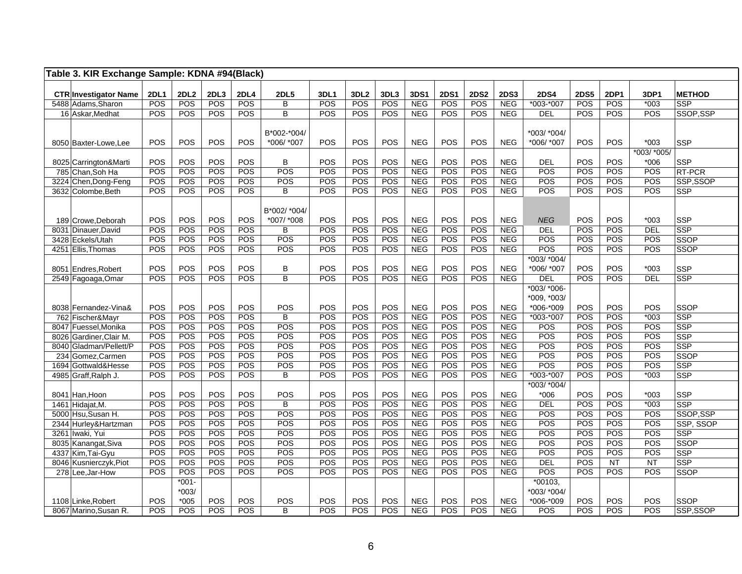| Table 3. KIR Exchange Sample: KDNA #94(Black) |             |                    |             |                    |                         |             |                  |             |                          |                    |                    |                           |                          |                    |                    |                      |                           |
|-----------------------------------------------|-------------|--------------------|-------------|--------------------|-------------------------|-------------|------------------|-------------|--------------------------|--------------------|--------------------|---------------------------|--------------------------|--------------------|--------------------|----------------------|---------------------------|
|                                               |             |                    |             |                    |                         |             |                  |             |                          |                    |                    |                           |                          |                    |                    |                      |                           |
| <b>CTR Investigator Name</b>                  | <b>2DL1</b> | <b>2DL2</b><br>POS | 2DL3<br>POS | <b>2DL4</b><br>POS | <b>2DL5</b>             | 3DL1<br>POS | 3DL <sub>2</sub> | 3DL3<br>POS | 3DS1<br><b>NEG</b>       | <b>2DS1</b><br>POS | <b>2DS2</b><br>POS | <b>2DS3</b><br><b>NEG</b> | <b>2DS4</b><br>*003-*007 | <b>2DS5</b><br>POS | <b>2DP1</b><br>POS | 3DP1<br>$*003$       | <b>METHOD</b>             |
| 5488 Adams, Sharon                            | POS         |                    | POS         | POS                | В<br>$\overline{B}$     |             | POS              |             |                          |                    | POS                |                           |                          |                    | POS                |                      | <b>SSP</b>                |
| 16 Askar, Medhat                              | POS         | POS                |             |                    |                         | POS         | POS              | POS         | <b>NEG</b>               | POS                |                    | NEG                       | DEL                      | POS                |                    | POS                  | SSOP, SSP                 |
|                                               |             |                    |             |                    |                         |             |                  |             |                          |                    |                    |                           |                          |                    |                    |                      |                           |
|                                               |             |                    |             |                    | B*002-*004/             |             |                  |             |                          |                    |                    |                           | *003/ *004/              |                    |                    |                      |                           |
| 8050 Baxter-Lowe, Lee                         | POS         | POS                | POS         | POS                | *006/ *007              | POS         | POS              | POS         | <b>NEG</b>               | POS                | <b>POS</b>         | <b>NEG</b>                | *006/ *007               | POS                | POS                | $*003$               | <b>SSP</b>                |
|                                               |             |                    |             |                    |                         |             |                  |             |                          |                    |                    |                           |                          |                    |                    | *003/ *005/          |                           |
| 8025 Carrington&Marti                         | POS         | POS                | POS         | POS                | B<br>POS                | POS         | POS              | POS         | <b>NEG</b>               | POS                | POS                | <b>NEG</b>                | <b>DEL</b>               | POS                | POS                | $*006$               | <b>SSP</b>                |
| 785 Chan, Soh Ha                              | POS         | POS                | POS<br>POS  | POS                |                         | POS         | POS              | POS         | <b>NEG</b>               | POS<br>POS         | POS<br>POS         | <b>NEG</b>                | POS                      | POS                | POS<br>POS         | POS                  | <b>RT-PCR</b>             |
| 3224 Chen, Dong-Feng                          | POS         | POS                |             | POS                | POS                     | POS         | POS              | POS         | <b>NEG</b>               |                    |                    | NEG                       | POS                      | POS                |                    | POS                  | SSP,SSOP                  |
| 3632 Colombe, Beth                            | POS         | POS                | POS         | POS                | B                       | POS         | POS              | POS         | <b>NEG</b>               | POS                | POS                | NEG                       | POS                      | POS                | POS                | POS                  | <b>SSP</b>                |
|                                               |             |                    |             |                    |                         |             |                  |             |                          |                    |                    |                           |                          |                    |                    |                      |                           |
|                                               |             |                    |             |                    | B*002/ *004/            |             |                  |             |                          |                    |                    |                           |                          |                    |                    |                      |                           |
| 189 Crowe, Deborah                            | POS         | POS<br>POS         | POS         | POS<br>POS         | *007/ *008              | POS<br>POS  | POS<br>POS       | POS<br>POS  | <b>NEG</b><br><b>NEG</b> | POS<br>POS         | POS                | <b>NEG</b><br><b>NEG</b>  | <b>NEG</b>               | POS                | POS<br>POS         | $*003$<br><b>DEL</b> | SSP<br>SSP                |
| 8031 Dinauer, David                           | POS         |                    | POS         |                    | B<br>POS                |             |                  |             |                          |                    | POS                |                           | <b>DEL</b><br>POS        | POS                | POS                |                      |                           |
| 3428 Eckels/Utah                              | POS         | POS                | POS<br>POS  | POS                |                         | POS         | POS              | POS         | <b>NEG</b>               | POS                | POS                | <b>NEG</b>                |                          | POS                |                    | POS                  | <b>SSOP</b>               |
| 4251 Ellis, Thomas                            | POS         | POS                |             | POS                | POS                     | POS         | POS              | POS         | <b>NEG</b>               | POS                | POS                | NEG                       | POS                      | POS                | POS                | POS                  | <b>SSOP</b>               |
|                                               |             |                    |             |                    |                         |             |                  |             |                          |                    |                    |                           | *003/ *004/              |                    |                    |                      |                           |
| 8051 Endres, Robert                           | POS         | POS                | POS         | POS                | B                       | POS         | POS              | POS         | <b>NEG</b>               | POS                | POS                | <b>NEG</b>                | *006/ *007               | POS                | POS                | $*003$               | SSP                       |
| 2549 Fagoaga, Omar                            | POS         | POS                | POS         | POS                | $\overline{\mathsf{B}}$ | POS         | POS              | POS         | <b>NEG</b>               | POS                | POS                | <b>NEG</b>                | <b>DEL</b>               | POS                | POS                | <b>DEL</b>           | SSP                       |
|                                               |             |                    |             |                    |                         |             |                  |             |                          |                    |                    |                           | *003/ *006-              |                    |                    |                      |                           |
|                                               |             |                    |             |                    |                         |             |                  |             |                          |                    |                    |                           | *009, *003/              |                    |                    |                      |                           |
| 8038 Fernandez-Vina&                          | POS<br>POS  | POS<br>POS         | POS<br>POS  | POS<br>POS         | POS<br>В                | POS<br>POS  | POS<br>POS       | POS<br>POS  | <b>NEG</b><br><b>NEG</b> | POS<br>POS         | POS<br>POS         | <b>NEG</b><br><b>NEG</b>  | *006-*009<br>$*003.*007$ | POS<br>POS         | POS<br>POS         | POS<br>$*003$        | <b>SSOP</b><br><b>SSP</b> |
| 762 Fischer&Mayr<br>8047 Fuessel, Monika      | POS         | POS                | POS         | POS                | POS                     | POS         | POS              | POS         | <b>NEG</b>               | POS                | POS                | <b>NEG</b>                | POS                      | POS                | POS                | POS                  | <b>SSP</b>                |
| 8026 Gardiner, Clair M.                       | POS         | POS                | POS         | POS                | POS                     | POS         | POS              | POS         | <b>NEG</b>               | POS                | POS                | NEG                       | POS                      | POS                | POS                | POS                  | <b>SSP</b>                |
|                                               | POS         | POS                | POS         | POS                | POS                     | POS         | POS              | POS         | <b>NEG</b>               | POS                | POS                | <b>NEG</b>                | POS                      | POS                | POS                | POS                  | <b>SSP</b>                |
| 8040 Gladman/Pellett/P<br>234 Gomez, Carmen   | POS         | POS                | POS         | POS                | POS                     | POS         | POS              | POS         | NEG                      | POS                | POS                | <b>NEG</b>                | POS                      | POS                | POS                | POS                  | SSOP                      |
| 1694 Gottwald&Hesse                           | POS         | POS                | POS         | POS                | POS                     | POS         | POS              | POS         | <b>NEG</b>               | POS                | POS                | NEG                       | POS                      | POS                | POS                | POS                  | <b>SSP</b>                |
|                                               | POS         | POS                | POS         | POS                | B                       | POS         | POS              | POS         | <b>NEG</b>               | POS                | POS                | <b>NEG</b>                | *003-*007                | POS                | POS                | $*003$               | <b>SSP</b>                |
| 4985 Graff, Ralph J.                          |             |                    |             |                    |                         |             |                  |             |                          |                    |                    |                           | *003/ *004/              |                    |                    |                      |                           |
|                                               | POS         | POS                | POS         | POS                |                         | POS         | POS              | POS         | <b>NEG</b>               | POS                | POS                | <b>NEG</b>                |                          | POS                | POS                | $*003$               |                           |
| 8041 Han, Hoon                                |             |                    | POS         | POS                | POS                     |             | POS              |             | <b>NEG</b>               | POS                | POS                |                           | $*006$                   |                    | POS                |                      | SSP<br>SSP                |
| 1461 Hidajat, M.                              | POS<br>POS  | POS<br>POS         | POS         | POS                | B<br>POS                | POS<br>POS  | POS              | POS<br>POS  | <b>NEG</b>               | POS                | POS                | NEG<br><b>NEG</b>         | <b>DEL</b><br>POS        | POS<br>POS         | POS                | $*003$<br>POS        |                           |
| 5000 Hsu.Susan H.                             | POS         |                    |             |                    | POS                     | POS         | POS              | POS         |                          |                    |                    | <b>NEG</b>                | POS                      | POS                |                    |                      | SSOP,SSP                  |
| 2344 Hurley&Hartzman                          | POS         | POS<br>POS         | POS<br>POS  | POS<br>POS         | POS                     | POS         | POS              | POS         | <b>NEG</b><br><b>NEG</b> | POS<br>POS         | POS<br>POS         | <b>NEG</b>                | POS                      |                    | POS<br>POS         | POS<br>POS           | SSP, SSOP                 |
| 3261 Iwaki, Yui                               |             |                    |             |                    |                         |             |                  |             |                          |                    |                    |                           |                          | POS                |                    |                      | <b>SSP</b>                |
| 8035 Kanangat, Siva                           | POS         | POS                | POS         | POS                | POS                     | POS         | POS              | POS         | <b>NEG</b>               | POS                | POS                | <b>NEG</b>                | POS                      | POS                | POS                | POS                  | SSOP                      |
| 4337 Kim, Tai-Gyu                             | POS         | POS                | POS         | POS                | POS                     | POS         | POS              | POS         | <b>NEG</b>               | POS                | POS                | <b>NEG</b>                | POS                      | POS                | POS                | POS                  | SSP                       |
| 8046 Kusnierczyk, Piot                        | POS         | POS                | POS         | POS                | POS                     | POS         | POS              | POS         | <b>NEG</b>               | POS                | <b>POS</b>         | <b>NEG</b>                | <b>DEL</b>               | POS                | <b>NT</b>          | <b>NT</b>            | <b>SSP</b>                |
| 278 Lee, Jar-How                              | POS         | POS                | POS         | POS                | POS                     | POS         | POS              | POS         | <b>NEG</b>               | POS                | POS                | <b>NEG</b>                | POS                      | POS                | POS                | POS                  | <b>SSOP</b>               |
|                                               |             | $*001-$            |             |                    |                         |             |                  |             |                          |                    |                    |                           | $*00103,$                |                    |                    |                      |                           |
|                                               |             | $*003/$            |             |                    |                         |             |                  |             |                          |                    |                    |                           | *003/ *004/              |                    |                    |                      |                           |
| 1108 Linke, Robert                            | POS         | $*005$             | POS         | POS                | POS                     | POS         | POS              | POS         | <b>NEG</b>               | POS                | POS                | <b>NEG</b>                | *006-*009                | POS                | POS                | POS                  | <b>SSOP</b>               |
| 8067 Marino, Susan R.                         | POS         | POS                | POS         | POS                | B                       | POS         | POS              | POS         | <b>NEG</b>               | POS                | POS                | <b>NEG</b>                | POS                      | POS                | POS                | POS                  | SSP,SSOP                  |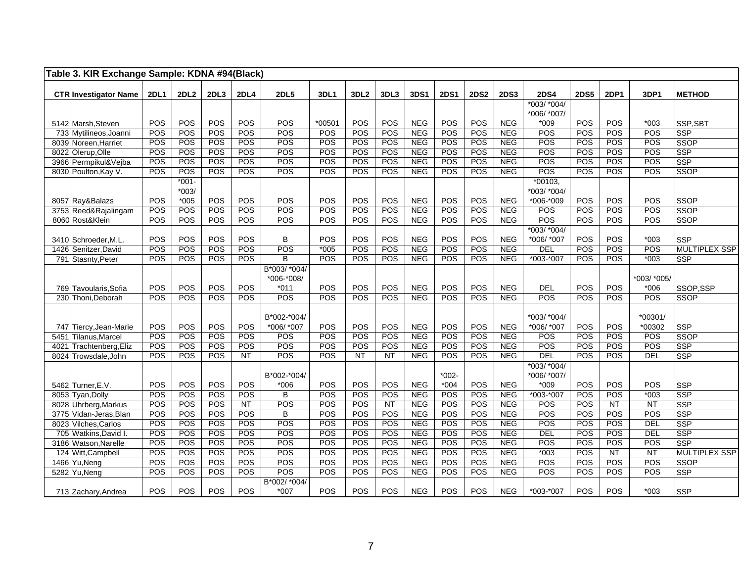| Table 3. KIR Exchange Sample: KDNA #94(Black)  |             |                  |            |             |                           |            |                  |           |            |             |             |                   |             |             |                 |                   |                           |
|------------------------------------------------|-------------|------------------|------------|-------------|---------------------------|------------|------------------|-----------|------------|-------------|-------------|-------------------|-------------|-------------|-----------------|-------------------|---------------------------|
| <b>CTR Investigator Name</b>                   | <b>2DL1</b> | 2DL <sub>2</sub> | 2DL3       | <b>2DL4</b> | <b>2DL5</b>               | 3DL1       | 3DL <sub>2</sub> | 3DL3      | 3DS1       | <b>2DS1</b> | <b>2DS2</b> | <b>2DS3</b>       | <b>2DS4</b> | <b>2DS5</b> | <b>2DP1</b>     | 3DP1              | <b>METHOD</b>             |
|                                                |             |                  |            |             |                           |            |                  |           |            |             |             |                   | *003/ *004/ |             |                 |                   |                           |
|                                                |             |                  |            |             |                           |            |                  |           |            |             |             |                   | *006/ *007/ |             |                 |                   |                           |
| 5142 Marsh, Steven                             | POS         | POS              | POS        | POS         | POS                       | *00501     | POS              | POS       | <b>NEG</b> | POS         | POS         | <b>NEG</b>        | $*009$      | POS         | POS             | $*003$            | SSP, SBT                  |
| 733 Mytilineos, Joanni                         | POS         | POS              | POS        | POS         | POS                       | POS        | POS              | POS       | <b>NEG</b> | POS         | POS         | <b>NEG</b>        | POS         | POS         | POS             | POS               | <b>SSP</b>                |
| 8039 Noreen, Harriet                           | POS         | POS              | POS        | <b>POS</b>  | POS                       | POS        | POS              | POS       | <b>NEG</b> | POS         | POS         | NEG               | POS         | POS         | POS             | POS               | <b>SSOP</b>               |
| 8022 Olerup, Olle                              | POS         | POS              | POS        | POS         | POS                       | POS        | POS              | POS       | <b>NEG</b> | POS         | POS         | <b>NEG</b>        | POS         | POS         | POS             | POS               | SSP                       |
| 3966 Permpikul&Vejba                           | POS         | POS              | POS        | POS         | POS                       | POS        | POS              | POS       | <b>NEG</b> | POS         | POS         | <b>NEG</b>        | POS         | POS         | POS             | POS               | <b>SSP</b>                |
| 8030 Poulton, Kay V.                           | POS         | POS              | <b>POS</b> | POS         | POS                       | <b>POS</b> | POS              | POS       | <b>NEG</b> | POS         | POS         | <b>NEG</b>        | POS         | POS         | POS             | POS               | <b>SSOP</b>               |
|                                                |             | $*001 -$         |            |             |                           |            |                  |           |            |             |             |                   | *00103,     |             |                 |                   |                           |
|                                                |             | $*003/$          |            |             |                           |            |                  |           |            |             |             |                   | *003/ *004/ |             |                 |                   |                           |
| 8057 Ray&Balazs                                | POS         | $*005$           | POS        | POS         | POS                       | POS        | POS              | POS       | <b>NEG</b> | POS         | <b>POS</b>  | <b>NEG</b>        | *006-*009   | POS         | POS             | POS               | SSOP                      |
| 3753 Reed&Rajalingam                           | POS         | POS              | POS        | POS         | POS                       | POS        | POS              | POS       | <b>NEG</b> | POS         | <b>POS</b>  | <b>NEG</b>        | POS         | POS         | POS             | POS               | <b>SSOP</b>               |
| 8060 Rost&Klein                                | POS         | POS              | POS        | POS         | POS                       | POS        | POS              | POS       | <b>NEG</b> | POS         | POS         | <b>NEG</b>        | POS         | POS         | POS             | POS               | <b>SSOP</b>               |
|                                                |             |                  |            |             |                           |            |                  |           |            |             |             |                   | *003/ *004/ |             |                 |                   |                           |
| 3410 Schroeder, M.L.                           | POS         | POS              | POS        | POS         | B                         | POS        | POS              | POS       | <b>NEG</b> | POS         | POS         | <b>NEG</b>        | *006/ *007  | POS         | POS             | $*003$            | <b>SSP</b>                |
| 1426 Senitzer, David                           | POS         | POS              | POS        | POS         | POS                       | $*005$     | POS              | POS       | <b>NEG</b> | POS         | POS         | <b>NEG</b>        | <b>DEL</b>  | POS         | POS             | POS               | <b>MULTIPLEX SSP</b>      |
| 791 Stasnty, Peter                             | POS         | POS              | POS        | <b>POS</b>  | B                         | POS        | POS              | POS       | <b>NEG</b> | POS         | POS         | <b>NEG</b>        | $*003.*007$ | POS         | POS             | $*003$            | <b>SSP</b>                |
|                                                |             |                  |            |             | B*003/ *004/              |            |                  |           |            |             |             |                   |             |             |                 |                   |                           |
|                                                |             |                  |            |             | *006-*008/                |            |                  |           |            |             |             |                   |             |             |                 | *003/ *005/       |                           |
| 769 Tavoularis, Sofia                          | POS         | POS              | POS        | POS         | $*011$                    | POS        | POS              | POS       | <b>NEG</b> | POS         | POS         | <b>NEG</b>        | DEL         | POS         | POS             | $*006$            | SSOP,SSP                  |
| 230 Thoni, Deborah                             | POS         | POS              | POS        | POS         | POS                       | POS        | POS              | POS       | <b>NEG</b> | POS         | POS         | <b>NEG</b>        | POS         | POS         | POS             | POS               | <b>SSOP</b>               |
|                                                |             |                  |            |             |                           |            |                  |           |            |             |             |                   |             |             |                 |                   |                           |
|                                                |             | POS              | POS        | POS         | B*002-*004/<br>*006/ *007 | POS        | POS              | POS       | <b>NEG</b> | POS         | POS         | <b>NEG</b>        | *003/ *004/ | POS         | POS             | *00301/<br>*00302 |                           |
| 747 Tiercy, Jean-Marie<br>5451 Tilanus, Marcel | POS         | POS              | POS        | POS         | POS                       |            |                  | POS       | <b>NEG</b> | POS         | POS         |                   | *006/ *007  |             | POS             |                   | <b>SSP</b><br><b>SSOP</b> |
| 4021 Trachtenberg, Eliz                        | POS<br>POS  | POS              | POS        | POS         | POS                       | POS<br>POS | POS<br>POS       | POS       | <b>NEG</b> | POS         | POS         | <b>NEG</b><br>NEG | POS<br>POS  | POS<br>POS  | POS             | POS<br>POS        | SSP                       |
| 8024 Trowsdale, John                           | POS         | POS              | POS        | <b>NT</b>   | POS                       | POS        | <b>NT</b>        | <b>NT</b> | <b>NEG</b> | POS         | POS         | <b>NEG</b>        | <b>DEL</b>  | POS         | POS             | <b>DEL</b>        | <b>SSP</b>                |
|                                                |             |                  |            |             |                           |            |                  |           |            |             |             |                   | *003/ *004/ |             |                 |                   |                           |
|                                                |             |                  |            |             | B*002-*004/               |            |                  |           |            | $*002-$     |             |                   | *006/ *007/ |             |                 |                   |                           |
| 5462 Turner, E.V.                              | POS         | POS              | POS        | POS         | $*006$                    | POS        | POS              | POS       | <b>NEG</b> | $*004$      | POS         | <b>NEG</b>        | $*009$      | POS         | POS             | POS               | <b>SSP</b>                |
| 8053 Tyan, Dolly                               | POS         | POS              | POS        | POS         | B                         | POS        | POS              | POS       | <b>NEG</b> | POS         | POS         | <b>NEG</b>        | *003-*007   | POS         | POS             | $*003$            | <b>SSP</b>                |
| 8028 Uhrberg, Markus                           | POS         | POS              | POS        | <b>NT</b>   | POS                       | POS        | POS              | <b>NT</b> | <b>NEG</b> | POS         | POS         | <b>NEG</b>        | POS         | POS         | NT              | NT                | SSP                       |
| 3775 Vidan-Jeras, Blan                         | POS         | POS              | POS        | POS         | B                         | POS        | POS              | POS       | <b>NEG</b> | POS         | POS         | NEG               | POS         | POS         | POS             | POS               | SSP                       |
| 8023 Vilches, Carlos                           | POS         | POS              | POS        | POS         | POS                       | POS        | POS              | POS       | <b>NEG</b> | POS         | POS         | <b>NEG</b>        | POS         | POS         | POS             | <b>DEL</b>        | SSP                       |
| 705 Watkins, David I.                          | POS         | POS              | POS        | POS         | POS                       | POS        | POS              | POS       | <b>NEG</b> | POS         | POS         | <b>NEG</b>        | <b>DEL</b>  | POS         | POS             | DEL               | <b>SSP</b>                |
| 3186 Watson, Narelle                           | POS         | POS              | POS        | POS         | POS                       | POS        | POS              | POS       | <b>NEG</b> | POS         | POS         | <b>NEG</b>        | POS         | POS         | POS             | POS               | <b>SSP</b>                |
| 124 Witt, Campbell                             | POS         | POS              | POS        | POS         | POS                       | POS        | POS              | POS       | <b>NEG</b> | POS         | <b>POS</b>  | <b>NEG</b>        | $*003$      | POS         | $\overline{NT}$ | NT                | <b>MULTIPLEX SSP</b>      |
| 1466 Yu, Neng                                  | POS         | POS              | POS        | POS         | POS                       | POS        | POS              | POS       | <b>NEG</b> | POS         | POS         | <b>NEG</b>        | POS         | POS         | POS             | POS               | <b>SSOP</b>               |
| 5282 Yu, Neng                                  | POS         | POS              | POS        | POS         | POS                       | POS        | POS              | POS       | <b>NEG</b> | POS         | POS         | NEG               | POS         | POS         | POS             | POS               | <b>SSP</b>                |
|                                                |             |                  |            |             | B*002/ *004/              |            |                  |           |            |             |             |                   |             |             |                 |                   |                           |
| 713 Zachary, Andrea                            | POS         | POS              | POS        | POS         | $*007$                    | POS        | POS              | POS       | <b>NEG</b> | POS         | POS         | <b>NEG</b>        | *003-*007   | POS         | POS             | $*003$            | <b>SSP</b>                |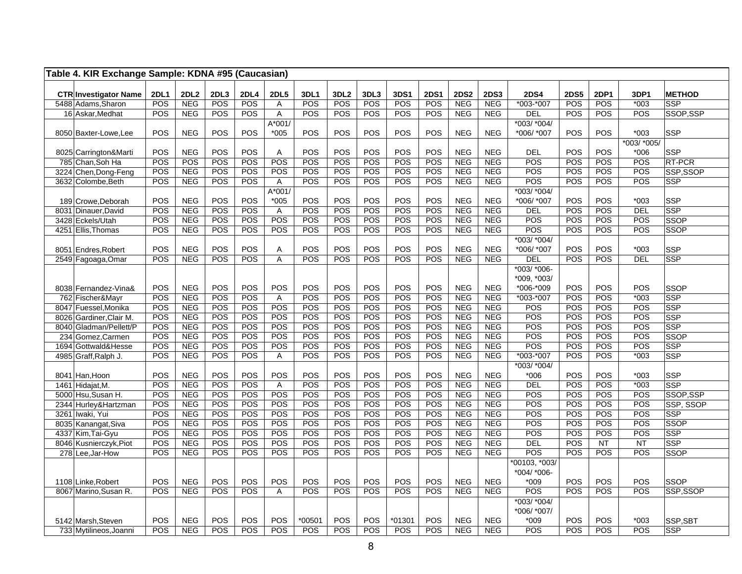| Table 4. KIR Exchange Sample: KDNA #95 (Caucasian) |                    |                           |             |                    |                  |                    |                         |             |             |                    |                           |                    |                          |                    |             |                |                             |
|----------------------------------------------------|--------------------|---------------------------|-------------|--------------------|------------------|--------------------|-------------------------|-------------|-------------|--------------------|---------------------------|--------------------|--------------------------|--------------------|-------------|----------------|-----------------------------|
|                                                    |                    |                           |             |                    |                  |                    |                         |             |             |                    |                           |                    |                          |                    |             |                |                             |
| <b>CTR Investigator Name</b><br>5488 Adams, Sharon | <b>2DL1</b><br>POS | <b>2DL2</b><br><b>NEG</b> | 2DL3<br>POS | <b>2DL4</b><br>POS | <b>2DL5</b><br>Α | <b>3DL1</b><br>POS | 3DL <sub>2</sub><br>POS | 3DL3<br>POS | 3DS1<br>POS | <b>2DS1</b><br>POS | <b>2DS2</b><br><b>NEG</b> | <b>2DS3</b><br>NEG | <b>2DS4</b><br>*003-*007 | <b>2DS5</b><br>POS | 2DP1<br>POS | 3DP1<br>$*003$ | <b>METHOD</b><br><b>SSP</b> |
| 16 Askar, Medhat                                   | POS                | <b>NEG</b>                | POS         | POS                | $\overline{A}$   | POS                | POS                     | POS         | POS         | POS                | <b>NEG</b>                | <b>NEG</b>         | <b>DEL</b>               | POS                | POS         | POS            | SSOP, SSP                   |
|                                                    |                    |                           |             |                    | A*001/           |                    |                         |             |             |                    |                           |                    | *003/ *004/              |                    |             |                |                             |
| 8050 Baxter-Lowe, Lee                              | POS                | <b>NEG</b>                | POS         | POS                | $*005$           | POS                | POS                     | POS         | POS         | POS                | <b>NEG</b>                | <b>NEG</b>         | *006/ *007               | POS                | <b>POS</b>  | $*003$         | <b>SSP</b>                  |
|                                                    |                    |                           |             |                    |                  |                    |                         |             |             |                    |                           |                    |                          |                    |             | *003/ *005/    |                             |
| 8025 Carrington&Marti                              | POS                | <b>NEG</b>                | POS         | POS                | Α                | POS                | POS                     | POS         | POS         | POS                | <b>NEG</b>                | <b>NEG</b>         | <b>DEL</b>               | POS                | POS         | $*006$         | <b>SSP</b>                  |
| 785 Chan, Soh Ha                                   | POS                | POS                       | POS         | POS                | POS              | POS                | POS                     | POS         | POS         | POS                | <b>NEG</b>                | <b>NEG</b>         | POS                      | POS                | POS         | POS            | RT-PCR                      |
| 3224 Chen, Dong-Feng                               | POS                | <b>NEG</b>                | POS         | POS                | POS              | POS                | POS                     | POS         | POS         | POS                | <b>NEG</b>                | <b>NEG</b>         | POS                      | POS                | POS         | POS            | SSP,SSOP                    |
| 3632 Colombe, Beth                                 | POS                | <b>NEG</b>                | POS         | POS                | Α                | POS                | POS                     | POS         | POS         | POS                | <b>NEG</b>                | <b>NEG</b>         | POS                      | POS                | <b>POS</b>  | POS            | <b>SSP</b>                  |
|                                                    |                    |                           |             |                    | $A*001/$         |                    |                         |             |             |                    |                           |                    | $*003/*004/$             |                    |             |                |                             |
| 189 Crowe, Deborah                                 | POS                | <b>NEG</b>                | POS         | <b>POS</b>         | $*005$           | POS                | POS                     | POS         | POS         | POS                | <b>NEG</b>                | <b>NEG</b>         | *006/ *007               | <b>POS</b>         | <b>POS</b>  | $*003$         | <b>SSP</b>                  |
| 8031 Dinauer, David                                | POS                | <b>NEG</b>                | POS         | POS                | $\overline{A}$   | POS                | POS                     | POS         | POS         | POS                | <b>NEG</b>                | <b>NEG</b>         | <b>DEL</b>               | POS                | POS         | <b>DEL</b>     | <b>SSP</b>                  |
| 3428 Eckels/Utah                                   | POS                | <b>NEG</b>                | POS         | POS                | POS              | POS                | POS                     | POS         | POS         | POS                | <b>NEG</b>                | <b>NEG</b>         | POS                      | POS                | POS         | POS            | <b>SSOP</b>                 |
| 4251 Ellis, Thomas                                 | POS                | <b>NEG</b>                | POS         | POS                | POS              | POS                | POS                     | POS         | POS         | POS                | <b>NEG</b>                | <b>NEG</b>         | POS                      | POS                | POS         | POS            | SSOP                        |
|                                                    |                    |                           |             |                    |                  |                    |                         |             |             |                    |                           |                    | *003/ *004/              |                    |             |                |                             |
| 8051 Endres, Robert                                | POS                | <b>NEG</b>                | POS         | POS                | A                | POS                | POS                     | POS         | POS         | POS                | <b>NEG</b>                | <b>NEG</b>         | *006/ *007               | POS                | POS         | $*003$         | SSP                         |
| 2549 Fagoaga, Omar                                 | POS                | <b>NEG</b>                | POS         | POS                | A                | POS                | POS                     | POS         | POS         | POS                | <b>NEG</b>                | <b>NEG</b>         | DEL                      | POS                | POS         | <b>DEL</b>     | SSP                         |
|                                                    |                    |                           |             |                    |                  |                    |                         |             |             |                    |                           |                    | *003/ *006-              |                    |             |                |                             |
|                                                    | POS                | <b>NEG</b>                | POS         | POS                | POS              | POS                | POS                     | POS         | POS         | POS                | <b>NEG</b>                | <b>NEG</b>         | *009, *003/              | POS                | POS         | POS            |                             |
| 8038 Fernandez-Vina&<br>762 Fischer&Mayr           | POS                | NEG                       | POS         | POS                | A                | POS                | POS                     | POS         | POS         | <b>POS</b>         | <b>NEG</b>                | <b>NEG</b>         | *006-*009<br>*003-*007   | POS                | POS         | $*003$         | SSOP<br><b>SSP</b>          |
| 8047 Fuessel, Monika                               | POS                | <b>NEG</b>                | POS         | POS                | POS              | POS                | POS                     | POS         | POS         | POS                | <b>NEG</b>                | <b>NEG</b>         | POS                      | POS                | POS         | POS            | <b>SSP</b>                  |
| 8026 Gardiner, Clair M.                            | POS                | <b>NEG</b>                | POS         | <b>POS</b>         | POS              | POS                | POS                     | POS         | POS         | POS                | <b>NEG</b>                | NEG                | POS                      | POS                | POS         | POS            | SSP                         |
| 8040 Gladman/Pellett/P                             | POS                | <b>NEG</b>                | POS         | POS                | POS              | POS                | POS                     | POS         | POS         | POS                | <b>NEG</b>                | <b>NEG</b>         | POS                      | POS                | <b>POS</b>  | POS            | <b>SSP</b>                  |
| 234 Gomez, Carmen                                  | POS                | <b>NEG</b>                | POS         | POS                | POS              | POS                | POS                     | POS         | POS         | POS                | <b>NEG</b>                | <b>NEG</b>         | POS                      | POS                | POS         | POS            | <b>SSOP</b>                 |
| 1694 Gottwald&Hesse                                | POS                | <b>NEG</b>                | POS         | POS                | POS              | POS                | POS                     | POS         | POS         | POS                | <b>NEG</b>                | <b>NEG</b>         | POS                      | POS                | POS         | POS            | <b>SSP</b>                  |
| 4985 Graff, Ralph J.                               | POS                | <b>NEG</b>                | POS         | POS                | A                | POS                | POS                     | POS         | POS         | POS                | <b>NEG</b>                | <b>NEG</b>         | $*003-*007$              | POS                | <b>POS</b>  | $*003$         | <b>SSP</b>                  |
|                                                    |                    |                           |             |                    |                  |                    |                         |             |             |                    |                           |                    | *003/ *004/              |                    |             |                |                             |
| 8041 Han, Hoon                                     | POS                | <b>NEG</b>                | POS         | POS                | POS              | POS                | POS                     | POS         | POS         | POS                | <b>NEG</b>                | <b>NEG</b>         | $*006$                   | POS                | POS         | $*003$         | <b>SSP</b>                  |
| 1461 Hidajat, M.                                   | POS                | <b>NEG</b>                | POS         | POS                | A                | POS                | POS                     | POS         | POS         | POS                | <b>NEG</b>                | <b>NEG</b>         | <b>DEL</b>               | POS                | POS         | $*003$         | SSP                         |
| 5000 Hsu, Susan H.                                 | POS                | <b>NEG</b>                | POS         | POS                | POS              | POS                | POS                     | POS         | POS         | POS                | <b>NEG</b>                | <b>NEG</b>         | POS                      | POS                | POS         | POS            | SSOP,SSP                    |
| 2344 Hurley&Hartzman                               | POS                | <b>NEG</b>                | POS         | POS                | POS              | POS                | POS                     | POS         | POS         | POS                | <b>NEG</b>                | <b>NEG</b>         | POS                      | POS                | POS         | POS            | SSP, SSOP                   |
| 3261 Iwaki, Yui                                    | POS                | <b>NEG</b>                | POS         | POS                | POS              | POS                | POS                     | POS         | POS         | POS                | <b>NEG</b>                | <b>NEG</b>         | POS                      | POS                | <b>POS</b>  | POS            | <b>SSP</b>                  |
| 8035 Kanangat, Siva                                | POS                | <b>NEG</b>                | POS         | POS                | POS              | POS                | POS                     | POS         | POS         | POS                | <b>NEG</b>                | <b>NEG</b>         | POS                      | POS                | POS         | POS            | <b>SSOP</b>                 |
| 4337 Kim, Tai-Gyu                                  | POS                | <b>NEG</b>                | POS         | POS                | POS              | POS                | POS                     | POS         | POS         | POS                | <b>NEG</b>                | <b>NEG</b>         | POS                      | POS                | POS         | POS            | <b>SSP</b>                  |
| 8046 Kusnierczyk, Piot                             | POS                | <b>NEG</b>                | POS         | POS                | POS              | POS                | POS                     | POS         | POS         | POS                | <b>NEG</b>                | <b>NEG</b>         | <b>DEL</b>               | POS                | <b>NT</b>   | <b>NT</b>      | <b>SSP</b>                  |
| 278 Lee, Jar-How                                   | POS                | <b>NEG</b>                | POS         | POS                | POS              | POS                | POS                     | POS         | POS         | POS                | <b>NEG</b>                | <b>NEG</b>         | POS                      | POS                | POS         | POS            | SSOP                        |
|                                                    |                    |                           |             |                    |                  |                    |                         |             |             |                    |                           |                    | *00103, *003/            |                    |             |                |                             |
|                                                    |                    |                           |             |                    |                  |                    |                         |             |             |                    |                           |                    | *004/ *006-              |                    |             |                |                             |
| 1108 Linke, Robert                                 | POS                | <b>NEG</b>                | POS         | POS                | POS              | POS                | POS                     | POS         | POS         | POS                | <b>NEG</b>                | <b>NEG</b>         | $*009$                   | POS                | <b>POS</b>  | POS            | <b>SSOP</b>                 |
| 8067 Marino, Susan R.                              | POS                | <b>NEG</b>                | POS         | POS                | A                | POS                | POS                     | POS         | POS         | POS                | <b>NEG</b>                | <b>NEG</b>         | POS                      | POS                | <b>POS</b>  | POS            | SSP,SSOP                    |
|                                                    |                    |                           |             |                    |                  |                    |                         |             |             |                    |                           |                    | *003/ *004/              |                    |             |                |                             |
|                                                    |                    |                           |             |                    |                  |                    |                         |             |             |                    |                           |                    | *006/ *007/              |                    |             |                |                             |
| 5142 Marsh, Steven                                 | POS                | <b>NEG</b>                | POS         | POS                | POS              | *00501             | POS                     | POS         | *01301      | POS                | <b>NEG</b>                | <b>NEG</b>         | $*009$                   | POS                | <b>POS</b>  | $*003$         | SSP, SBT                    |
| 733 Mytilineos, Joanni                             | POS                | <b>NEG</b>                | POS         | POS                | POS              | POS                | POS                     | POS         | POS         | POS                | <b>NEG</b>                | <b>NEG</b>         | POS                      | POS                | POS         | POS            | <b>SSP</b>                  |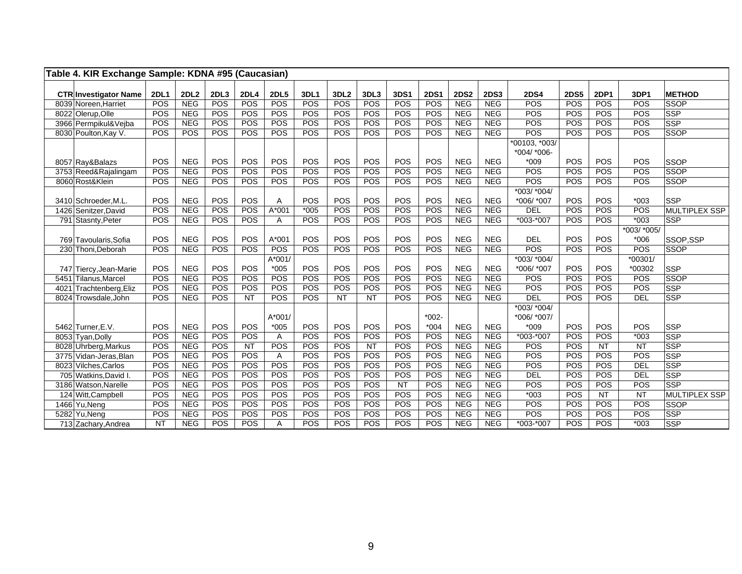| Table 4. KIR Exchange Sample: KDNA #95 (Caucasian) |             |             |      |             |             |        |                  |           |             |             |             |             |                                   |             |             |                 |                      |
|----------------------------------------------------|-------------|-------------|------|-------------|-------------|--------|------------------|-----------|-------------|-------------|-------------|-------------|-----------------------------------|-------------|-------------|-----------------|----------------------|
|                                                    |             |             |      |             |             |        |                  |           |             |             |             |             |                                   |             |             |                 |                      |
| <b>CTR Investigator Name</b>                       | <b>2DL1</b> | <b>2DL2</b> | 2DL3 | <b>2DL4</b> | <b>2DL5</b> | 3DL1   | 3DL <sub>2</sub> | 3DL3      | <b>3DS1</b> | <b>2DS1</b> | <b>2DS2</b> | <b>2DS3</b> | <b>2DS4</b>                       | <b>2DS5</b> | <b>2DP1</b> | 3DP1            | <b>METHOD</b>        |
| 8039 Noreen, Harriet                               | POS         | <b>NEG</b>  | POS  | POS         | POS         | POS    | POS              | POS       | POS         | POS         | <b>NEG</b>  | <b>NEG</b>  | POS                               | POS         | POS         | POS             | <b>SSOP</b>          |
| 8022 Olerup, Olle                                  | POS         | <b>NEG</b>  | POS  | POS         | POS         | POS    | POS              | POS       | POS         | POS         | <b>NEG</b>  | <b>NEG</b>  | POS                               | POS         | POS         | POS             | <b>SSP</b>           |
| 3966 Permpikul&Vejba                               | POS         | <b>NEG</b>  | POS  | <b>POS</b>  | POS         | POS    | POS              | POS       | POS         | POS         | <b>NEG</b>  | <b>NEG</b>  | <b>POS</b>                        | POS         | POS         | POS             | <b>SSP</b>           |
| 8030 Poulton, Kay V.                               | POS         | POS         | POS  | POS         | POS         | POS    | POS              | POS       | POS         | POS         | <b>NEG</b>  | <b>NEG</b>  | <b>POS</b>                        | POS         | POS         | POS             | <b>SSOP</b>          |
|                                                    |             |             |      |             |             |        |                  |           |             |             |             |             | *00103, *003/<br>$*004$ / $*006-$ |             |             |                 |                      |
| 8057 Ray&Balazs                                    | POS         | <b>NEG</b>  | POS  | POS         | POS         | POS    | POS              | POS       | POS         | POS         | <b>NEG</b>  | <b>NEG</b>  | $*009$                            | POS         | POS         | POS             | <b>SSOP</b>          |
| 3753 Reed&Rajalingam                               | POS         | <b>NEG</b>  | POS  | POS         | POS         | POS    | POS              | POS       | POS         | POS         | <b>NEG</b>  | <b>NEG</b>  | POS                               | POS         | POS         | POS             | <b>SSOP</b>          |
| 8060 Rost&Klein                                    | POS         | <b>NEG</b>  | POS  | POS         | POS         | POS    | POS              | POS       | <b>POS</b>  | POS         | <b>NEG</b>  | <b>NEG</b>  | <b>POS</b>                        | POS         | POS         | <b>POS</b>      | <b>SSOP</b>          |
|                                                    |             |             |      |             |             |        |                  |           |             |             |             |             | $*003/*004/$                      |             |             |                 |                      |
| 3410 Schroeder, M.L.                               | POS         | <b>NEG</b>  | POS  | POS         | A           | POS    | POS              | POS       | POS         | POS         | <b>NEG</b>  | <b>NEG</b>  | *006/ *007                        | POS         | POS         | $*003$          | <b>SSP</b>           |
| 1426 Senitzer, David                               | POS         | <b>NEG</b>  | POS  | POS         | $A*001$     | $*005$ | POS              | POS       | POS         | POS         | <b>NEG</b>  | <b>NEG</b>  | DEL                               | POS         | POS         | POS             | <b>MULTIPLEX SSP</b> |
| 791 Stasnty, Peter                                 | POS         | <b>NEG</b>  | POS  | POS         | A           | POS    | POS              | POS       | POS         | POS         | <b>NEG</b>  | <b>NEG</b>  | *003-*007                         | POS         | POS         | $*003$          | <b>SSP</b>           |
|                                                    |             |             |      |             |             |        |                  |           |             |             |             |             |                                   |             |             | *003/ *005/     |                      |
| 769 Tavoularis.Sofia                               | POS         | <b>NEG</b>  | POS  | POS         | $A*001$     | POS    | POS              | POS       | POS         | POS         | <b>NEG</b>  | <b>NEG</b>  | <b>DEL</b>                        | POS         | POS         | $*006$          | SSOP.SSP             |
| 230 Thoni, Deborah                                 | POS         | <b>NEG</b>  | POS  | POS         | POS         | POS    | POS              | POS       | POS         | POS         | <b>NEG</b>  | <b>NEG</b>  | POS                               | POS         | POS         | POS             | <b>SSOP</b>          |
|                                                    |             |             |      |             | $A*001/$    |        |                  |           |             |             |             |             | $*003/*004/$                      |             |             | $*00301/$       |                      |
| 747 Tiercy, Jean-Marie                             | POS         | <b>NEG</b>  | POS  | POS         | $*005$      | POS    | POS              | POS       | POS         | POS         | <b>NEG</b>  | <b>NEG</b>  | *006/ *007                        | POS         | POS         | *00302          | <b>SSP</b>           |
| 5451 Tilanus.Marcel                                | POS         | <b>NEG</b>  | POS  | POS         | POS         | POS    | POS              | POS       | POS         | POS         | <b>NEG</b>  | <b>NEG</b>  | POS                               | POS         | POS         | POS             | <b>SSOP</b>          |
| 4021 Trachtenberg, Eliz                            | POS         | <b>NEG</b>  | POS  | POS         | POS         | POS    | POS              | POS       | POS         | POS         | <b>NEG</b>  | <b>NEG</b>  | POS                               | POS         | POS         | POS             | SSP                  |
| 8024 Trowsdale, John                               | POS         | <b>NEG</b>  | POS  | <b>NT</b>   | POS         | POS    | NT               | NT        | POS         | POS         | <b>NEG</b>  | <b>NEG</b>  | <b>DEL</b>                        | POS         | POS         | DEL             | <b>SSP</b>           |
|                                                    |             |             |      |             |             |        |                  |           |             |             |             |             | $*003/*004/$                      |             |             |                 |                      |
|                                                    |             |             |      |             | $A*001/$    |        |                  |           |             | $*002 -$    |             |             | *006/ *007/                       |             |             |                 |                      |
| 5462 Turner, E.V.                                  | POS         | <b>NEG</b>  | POS  | POS         | $*005$      | POS    | POS              | POS       | POS         | $*004$      | <b>NEG</b>  | <b>NEG</b>  | $*009$                            | POS         | POS         | POS             | <b>SSP</b>           |
| 8053 Tyan, Dolly                                   | POS         | <b>NEG</b>  | POS  | POS         | Α           | POS    | POS              | POS       | POS         | POS         | <b>NEG</b>  | <b>NEG</b>  | *003-*007                         | POS         | POS         | $*003$          | <b>SSP</b>           |
| 8028 Uhrberg, Markus                               | POS         | <b>NEG</b>  | POS  | <b>NT</b>   | POS         | POS    | POS              | <b>NT</b> | POS         | POS         | <b>NEG</b>  | <b>NEG</b>  | POS                               | POS         | <b>NT</b>   | <b>NT</b>       | <b>SSP</b>           |
| 3775 Vidan-Jeras, Blan                             | POS         | <b>NEG</b>  | POS  | POS         | Α           | POS    | POS              | POS       | POS         | POS         | <b>NEG</b>  | <b>NEG</b>  | POS                               | POS         | POS         | POS             | <b>SSP</b>           |
| 8023 Vilches, Carlos                               | POS         | <b>NEG</b>  | POS  | POS         | POS         | POS    | POS              | POS       | POS         | POS         | <b>NEG</b>  | <b>NEG</b>  | POS                               | POS         | POS         | DEL             | <b>SSP</b>           |
| 705 Watkins, David I.                              | POS         | <b>NEG</b>  | POS  | POS         | POS         | POS    | POS              | POS       | POS         | POS         | <b>NEG</b>  | <b>NEG</b>  | <b>DEL</b>                        | POS         | POS         | DEL             | <b>SSP</b>           |
| 3186 Watson, Narelle                               | POS         | <b>NEG</b>  | POS  | POS         | POS         | POS    | POS              | POS       | NT          | POS         | <b>NEG</b>  | <b>NEG</b>  | POS                               | POS         | POS         | POS             | <b>SSP</b>           |
| 124 Witt, Campbell                                 | POS         | <b>NEG</b>  | POS  | POS         | POS         | POS    | POS              | POS       | POS         | POS         | <b>NEG</b>  | <b>NEG</b>  | $*003$                            | POS         | NT          | $\overline{NT}$ | <b>MULTIPLEX SSP</b> |
| 1466 Yu, Neng                                      | POS         | <b>NEG</b>  | POS  | POS         | POS         | POS    | POS              | POS       | POS         | POS         | <b>NEG</b>  | <b>NEG</b>  | POS                               | POS         | POS         | POS             | <b>SSOP</b>          |
| 5282 Yu.Nena                                       | POS         | <b>NEG</b>  | POS  | POS         | POS         | POS    | POS              | POS       | POS         | POS         | <b>NEG</b>  | <b>NEG</b>  | POS                               | POS         | POS         | POS             | <b>SSP</b>           |
| 713 Zachary, Andrea                                | <b>NT</b>   | <b>NEG</b>  | POS  | POS         | Α           | POS    | POS              | POS       | POS         | POS         | <b>NEG</b>  | <b>NEG</b>  | *003-*007                         | POS         | POS         | $*003$          | <b>SSP</b>           |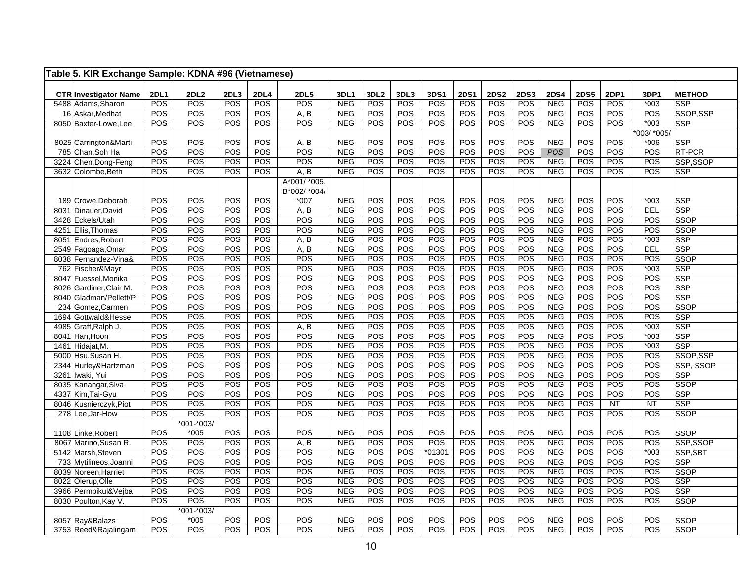| Table 5. KIR Exchange Sample: KDNA #96 (Vietnamese) |             |                   |            |            |              |                          |                  |            |             |             |             |             |                          |             |            |               |                        |
|-----------------------------------------------------|-------------|-------------------|------------|------------|--------------|--------------------------|------------------|------------|-------------|-------------|-------------|-------------|--------------------------|-------------|------------|---------------|------------------------|
|                                                     |             |                   |            |            |              |                          |                  |            |             |             |             |             |                          |             |            |               |                        |
| <b>CTR Investigator Name</b>                        | <b>2DL1</b> | <b>2DL2</b>       | 2DL3       | 2DL4       | <b>2DL5</b>  | 3DL1                     | 3DL <sub>2</sub> | 3DL3       | <b>3DS1</b> | <b>2DS1</b> | <b>2DS2</b> | <b>2DS3</b> | <b>2DS4</b>              | <b>2DS5</b> | 2DP1       | 3DP1          | <b>METHOD</b>          |
| 5488 Adams, Sharon                                  | POS<br>POS  | POS<br><b>POS</b> | POS<br>POS | POS<br>POS | POS          | <b>NEG</b>               | POS<br>POS       | POS<br>POS | POS<br>POS  | POS<br>POS  | POS<br>POS  | POS<br>POS  | <b>NEG</b>               | POS<br>POS  | POS<br>POS | $*003$<br>POS | <b>SSP</b>             |
| 16 Askar, Medhat                                    | <b>POS</b>  | POS               | POS        | POS        | A, B<br>POS  | <b>NEG</b><br><b>NEG</b> | POS              | POS        | POS         | <b>POS</b>  | POS         | POS         | <b>NEG</b><br><b>NEG</b> | POS         | <b>POS</b> | $*003$        | SSOP,SSP<br><b>SSP</b> |
| 8050 Baxter-Lowe, Lee                               |             |                   |            |            |              |                          |                  |            |             |             |             |             |                          |             |            | *003/ *005/   |                        |
| 8025 Carrington&Marti                               | POS         | POS               | POS        | POS        | A, B         | <b>NEG</b>               | POS              | POS        | POS         | POS         | POS         | POS         | <b>NEG</b>               | POS         | POS        | $*006$        | <b>SSP</b>             |
| 785 Chan, Soh Ha                                    | POS         | POS               | POS        | POS        | POS          | <b>NEG</b>               | POS              | POS        | POS         | POS         | POS         | POS         | POS                      | POS         | POS        | POS           | RT-PCR                 |
| 3224 Chen, Dong-Feng                                | POS         | <b>POS</b>        | POS        | POS        | POS          | <b>NEG</b>               | POS              | POS        | POS         | POS         | POS         | POS         | <b>NEG</b>               | POS         | POS        | POS           | SSP,SSOP               |
| 3632 Colombe, Beth                                  | POS         | POS               | POS        | POS        | A, B         | <b>NEG</b>               | POS              | POS        | POS         | POS         | POS         | POS         | <b>NEG</b>               | POS         | POS        | POS           | SSP                    |
|                                                     |             |                   |            |            | A*001/*005,  |                          |                  |            |             |             |             |             |                          |             |            |               |                        |
|                                                     |             |                   |            |            | B*002/ *004/ |                          |                  |            |             |             |             |             |                          |             |            |               |                        |
| 189 Crowe.Deborah                                   | POS         | POS               | POS        | POS        | $*007$       | <b>NEG</b>               | POS              | POS        | POS         | POS         | POS         | POS         | <b>NEG</b>               | POS         | POS        | $*003$        | <b>SSP</b>             |
| 8031 Dinauer, David                                 | POS         | POS               | POS        | POS        | A, B         | <b>NEG</b>               | POS              | POS        | POS         | POS         | POS         | POS         | <b>NEG</b>               | POS         | POS        | <b>DEL</b>    | <b>SSP</b>             |
| 3428 Eckels/Utah                                    | POS         | POS               | POS        | POS        | POS          | <b>NEG</b>               | POS              | POS        | POS         | POS         | POS         | POS         | <b>NEG</b>               | POS         | POS        | POS           | <b>SSOP</b>            |
| 4251 Ellis, Thomas                                  | <b>POS</b>  | POS               | POS        | POS        | POS          | <b>NEG</b>               | POS              | POS        | POS         | POS         | POS         | POS         | <b>NEG</b>               | POS         | POS        | POS           | <b>SSOP</b>            |
| 8051 Endres, Robert                                 | <b>POS</b>  | POS               | POS        | POS        | A, B         | <b>NEG</b>               | POS              | POS        | POS         | POS         | POS         | POS         | <b>NEG</b>               | POS         | POS        | $*003$        | <b>SSP</b>             |
| 2549 Fagoaga, Omar                                  | <b>POS</b>  | POS               | POS        | POS        | A, B         | <b>NEG</b>               | POS              | POS        | POS         | POS         | POS         | POS         | <b>NEG</b>               | POS         | POS        | <b>DEL</b>    | SSP                    |
| 8038 Fernandez-Vina&                                | POS         | POS               | POS        | POS        | POS          | <b>NEG</b>               | POS              | POS        | POS         | POS         | POS         | POS         | <b>NEG</b>               | POS         | POS        | POS           | <b>SSOP</b>            |
| 762 Fischer&Mayr                                    | POS         | POS               | POS        | POS        | POS          | <b>NEG</b>               | POS              | POS        | POS         | POS         | POS         | POS         | <b>NEG</b>               | POS         | POS        | $*003$        | <b>SSP</b>             |
| 8047 Fuessel, Monika                                | POS         | POS               | POS        | POS        | POS          | <b>NEG</b>               | POS              | POS        | POS         | POS         | POS         | POS         | <b>NEG</b>               | POS         | POS        | POS           | <b>SSP</b>             |
| 8026 Gardiner, Clair M.                             | POS         | POS               | POS        | POS        | POS          | <b>NEG</b>               | POS              | POS        | POS         | POS         | POS         | POS         | <b>NEG</b>               | POS         | POS        | POS           | <b>SSP</b>             |
| 8040 Gladman/Pellett/P                              | POS         | POS               | POS        | POS        | POS          | <b>NEG</b>               | POS              | POS        | POS         | POS         | POS         | POS         | <b>NEG</b>               | POS         | POS        | POS           | <b>SSP</b>             |
| 234 Gomez, Carmen                                   | POS         | POS               | POS        | POS        | POS          | <b>NEG</b>               | POS              | POS        | POS         | POS         | POS         | POS         | <b>NEG</b>               | POS         | POS        | POS           | <b>SSOP</b>            |
| 1694 Gottwald&Hesse                                 | POS         | <b>POS</b>        | POS        | POS        | POS          | <b>NEG</b>               | POS              | POS        | POS         | POS         | POS         | POS         | <b>NEG</b>               | POS         | POS        | POS           | <b>SSP</b>             |
| 4985 Graff, Ralph J.                                | <b>POS</b>  | POS               | POS        | POS        | A, B         | <b>NEG</b>               | POS              | POS        | POS         | POS         | POS         | POS         | <b>NEG</b>               | POS         | POS        | $*003$        | <b>SSP</b>             |
| 8041 Han, Hoon                                      | POS         | POS               | POS        | POS        | POS          | <b>NEG</b>               | POS              | POS        | POS         | POS         | POS         | POS         | <b>NEG</b>               | POS         | POS        | $*003$        | SSP                    |
| 1461 Hidajat, M.                                    | <b>POS</b>  | POS               | POS        | POS        | POS          | <b>NEG</b>               | POS              | POS        | POS         | POS         | POS         | POS         | <b>NEG</b>               | POS         | POS        | $*003$        | <b>SSP</b>             |
| 5000 Hsu, Susan H.                                  | <b>POS</b>  | POS               | POS        | POS        | POS          | <b>NEG</b>               | POS              | POS        | POS         | POS         | POS         | POS         | <b>NEG</b>               | POS         | POS        | POS           | SSOP,SSP               |
| 2344 Hurley&Hartzman                                | POS         | POS               | POS        | POS        | POS          | <b>NEG</b>               | POS              | POS        | POS         | POS         | POS         | POS         | <b>NEG</b>               | POS         | POS        | POS           | SSP, SSOP              |
| 3261 Iwaki, Yui                                     | POS         | POS               | POS        | POS        | POS          | <b>NEG</b>               | POS              | POS        | POS         | POS         | POS         | POS         | <b>NEG</b>               | POS         | POS        | POS           | <b>SSP</b>             |
| 8035 Kanangat, Siva                                 | POS         | POS               | POS        | POS        | POS          | <b>NEG</b>               | POS              | POS        | POS         | POS         | POS         | POS         | <b>NEG</b>               | POS         | POS        | POS           | <b>SSOP</b>            |
| 4337 Kim, Tai-Gyu                                   | POS         | POS               | POS        | POS        | POS          | <b>NEG</b>               | POS              | POS        | POS         | POS         | POS         | POS         | <b>NEG</b>               | POS         | POS        | POS           | <b>SSP</b>             |
| 8046 Kusnierczyk, Piot                              | <b>POS</b>  | POS               | POS        | POS        | POS          | <b>NEG</b>               | POS              | POS        | POS         | POS         | POS         | POS         | <b>NEG</b>               | POS         | <b>NT</b>  | <b>NT</b>     | SSP                    |
| 278 Lee, Jar-How                                    | POS         | <b>POS</b>        | POS        | POS        | POS          | <b>NEG</b>               | POS              | POS        | POS         | POS         | POS         | POS         | <b>NEG</b>               | POS         | POS        | POS           | <b>SSOP</b>            |
|                                                     |             | *001-*003/        |            |            |              |                          |                  |            |             |             |             |             |                          |             |            |               |                        |
| 1108 Linke, Robert                                  | <b>POS</b>  | $*005$            | POS        | POS        | POS          | <b>NEG</b>               | POS              | POS        | POS         | POS         | POS         | POS         | <b>NEG</b>               | POS         | POS        | POS           | <b>SSOP</b>            |
| 8067 Marino, Susan R.                               | POS         | POS               | POS        | POS        | A, B         | <b>NEG</b>               | POS              | POS        | POS         | POS         | POS         | POS         | <b>NEG</b>               | POS         | POS        | POS           | SSP,SSOP               |
| 5142 Marsh, Steven                                  | <b>POS</b>  | POS               | POS        | POS        | POS          | <b>NEG</b>               | POS              | POS        | $*01301$    | POS         | POS         | POS         | <b>NEG</b>               | POS         | POS        | $*003$        | SSP, SBT               |
| 733 Mytilineos, Joanni                              | <b>POS</b>  | POS               | POS        | POS        | POS          | <b>NEG</b>               | POS              | POS        | POS         | POS         | POS         | POS         | <b>NEG</b>               | POS         | POS        | POS           | SSP                    |
| 8039 Noreen. Harriet                                | POS         | POS               | POS        | POS        | POS          | <b>NEG</b>               | POS              | POS        | POS         | POS         | POS         | POS         | <b>NEG</b>               | POS         | POS        | POS           | <b>SSOP</b>            |
| 8022 Olerup, Olle                                   | POS         | POS               | POS        | POS        | POS          | <b>NEG</b>               | POS              | POS        | POS         | POS         | POS         | POS         | <b>NEG</b>               | POS         | POS        | POS           | <b>SSP</b>             |
| 3966 Permpikul&Vejba                                | POS         | POS               | POS        | POS        | POS          | <b>NEG</b>               | POS              | POS        | POS         | POS         | POS         | POS         | <b>NEG</b>               | POS         | POS        | POS           | <b>SSP</b>             |
| 8030 Poulton, Kay V.                                | <b>POS</b>  | POS               | POS        | POS        | POS          | <b>NEG</b>               | POS              | POS        | <b>POS</b>  | POS         | POS         | POS         | <b>NEG</b>               | POS         | POS        | POS           | <b>SSOP</b>            |
|                                                     |             | *001-*003/        |            |            |              |                          |                  |            |             |             |             |             |                          |             |            |               |                        |
| 8057 Ray&Balazs                                     | <b>POS</b>  | $*005$            | POS        | POS        | POS          | <b>NEG</b>               | POS              | POS        | POS         | POS         | POS         | POS         | <b>NEG</b>               | POS         | POS        | POS           | <b>SSOP</b>            |
| 3753 Reed&Rajalingam                                | POS         | POS               | POS        | POS        | POS          | <b>NEG</b>               | POS              | POS        | POS         | POS         | POS         | POS         | <b>NEG</b>               | POS         | POS        | POS           | <b>SSOP</b>            |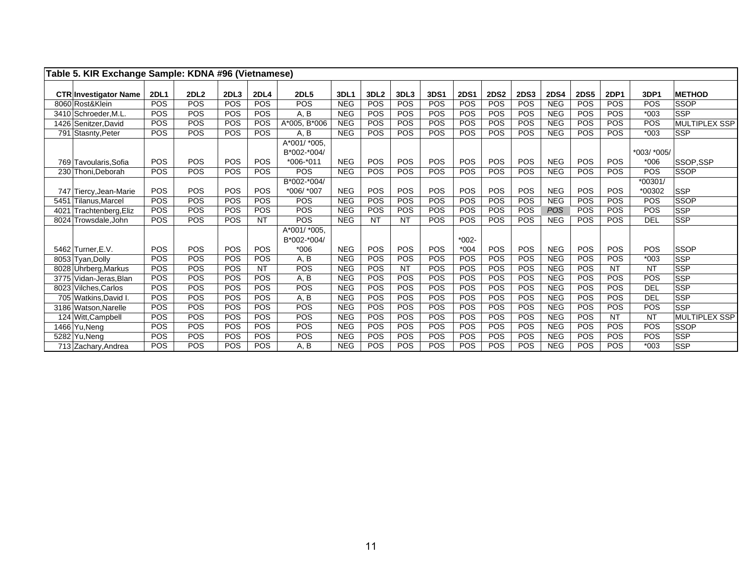| Table 5. KIR Exchange Sample: KDNA #96 (Vietnamese) |                          |                          |                  |                          |                               |                          |                  |                         |                          |                   |             |             |             |                          |                          |                     |               |
|-----------------------------------------------------|--------------------------|--------------------------|------------------|--------------------------|-------------------------------|--------------------------|------------------|-------------------------|--------------------------|-------------------|-------------|-------------|-------------|--------------------------|--------------------------|---------------------|---------------|
| <b>CTR Investigator Name</b>                        | <b>2DL1</b>              | <b>2DL2</b>              | 2DL <sub>3</sub> | <b>2DL4</b>              | <b>2DL5</b>                   | 3DL1                     | 3DL <sub>2</sub> | 3DL3                    | 3DS1                     | <b>2DS1</b>       | <b>2DS2</b> | <b>2DS3</b> | <b>2DS4</b> | <b>2DS5</b>              | <b>2DP1</b>              | 3DP1                | <b>METHOD</b> |
| 8060 Rost&Klein                                     | POS                      | <b>POS</b>               | <b>POS</b>       | POS                      | POS                           | <b>NEG</b>               | POS              | POS                     | POS                      | <b>POS</b>        | POS         | <b>POS</b>  | <b>NEG</b>  | POS                      | POS                      | POS                 | <b>SSOP</b>   |
| 3410 Schroeder, M.L.                                | POS                      | <b>POS</b>               | POS              | <b>POS</b>               | A, B                          | <b>NEG</b>               | POS              | POS                     | POS                      | <b>POS</b>        | <b>POS</b>  | POS         | <b>NEG</b>  | POS                      | POS                      | $*003$              | <b>SSP</b>    |
| 1426 Senitzer, David                                | <b>POS</b>               | <b>POS</b>               | <b>POS</b>       | <b>POS</b>               | A*005, B*006                  | <b>NEG</b>               | POS              | <b>POS</b>              | <b>POS</b>               | POS               | <b>POS</b>  | <b>POS</b>  | <b>NEG</b>  | <b>POS</b>               | <b>POS</b>               | <b>POS</b>          | MULTIPLEX SSP |
| 791 Stasnty, Peter                                  | <b>POS</b>               | <b>POS</b>               | <b>POS</b>       | POS                      | A, B                          | <b>NEG</b>               | POS              | <b>POS</b>              | <b>POS</b>               | <b>POS</b>        | POS         | POS         | <b>NEG</b>  | <b>POS</b>               | <b>POS</b>               | $*003$              | <b>SSP</b>    |
|                                                     |                          |                          |                  |                          | $A*001/$ *005,<br>B*002-*004/ |                          |                  |                         |                          |                   |             |             |             |                          |                          | *003/ *005/         |               |
| 769 Tavoularis, Sofia                               | <b>POS</b>               | <b>POS</b>               | <b>POS</b>       | POS                      | $*006 - 011$                  | <b>NEG</b>               | <b>POS</b>       | <b>POS</b>              | <b>POS</b>               | <b>POS</b>        | POS         | <b>POS</b>  | <b>NEG</b>  | <b>POS</b>               | POS                      | $*006$              | SSOP.SSP      |
| 230 Thoni, Deborah                                  | <b>POS</b>               | <b>POS</b>               | <b>POS</b>       | <b>POS</b>               | POS                           | <b>NEG</b>               | POS              | POS                     | <b>POS</b>               | POS               | POS         | POS         | <b>NEG</b>  | <b>POS</b>               | <b>POS</b>               | POS                 | <b>SSOP</b>   |
|                                                     |                          |                          |                  |                          | B*002-*004/                   |                          |                  |                         |                          |                   |             |             |             |                          |                          | $*00301/$           |               |
| 747 Tiercy, Jean-Marie                              | <b>POS</b>               | <b>POS</b>               | <b>POS</b>       | POS                      | *006/ *007                    | <b>NEG</b>               | <b>POS</b>       | <b>POS</b>              | <b>POS</b>               | <b>POS</b>        | POS         | POS         | <b>NEG</b>  | <b>POS</b>               | POS                      | *00302              | <b>SSP</b>    |
| 5451 Tilanus, Marcel                                | <b>POS</b>               | <b>POS</b>               | <b>POS</b>       | <b>POS</b>               | <b>POS</b>                    | <b>NEG</b>               | POS              | POS                     | <b>POS</b>               | POS               | POS         | POS         | <b>NEG</b>  | <b>POS</b>               | POS                      | POS                 | SSOP          |
| 4021 Trachtenberg, Eliz                             | POS                      | <b>POS</b>               | <b>POS</b>       | POS                      | POS                           | <b>NEG</b>               | POS              | POS                     | POS                      | POS               | POS         | POS         | <b>POS</b>  | POS                      | POS                      | <b>POS</b>          | <b>SSP</b>    |
| 8024 Trowsdale, John                                | <b>POS</b>               | <b>POS</b>               | <b>POS</b>       | <b>NT</b>                | POS                           | <b>NEG</b>               | <b>NT</b>        | <b>NT</b>               | POS                      | POS               | POS         | <b>POS</b>  | <b>NEG</b>  | <b>POS</b>               | POS                      | <b>DEL</b>          | <b>SSP</b>    |
|                                                     |                          |                          |                  |                          | A*001/ *005,<br>B*002-*004/   |                          |                  |                         |                          | $*002-$           |             |             |             |                          |                          |                     |               |
| 5462 Turner, E.V.                                   | POS                      | POS                      | <b>POS</b>       | <b>POS</b>               | $*006$                        | <b>NEG</b>               | POS              | <b>POS</b>              | <b>POS</b>               | $*004$            | <b>POS</b>  | POS         | <b>NEG</b>  | <b>POS</b>               | POS                      | <b>POS</b>          | <b>SSOP</b>   |
| 8053 Tyan, Dolly                                    | <b>POS</b><br><b>POS</b> | <b>POS</b><br>POS        | POS              | <b>POS</b><br><b>NT</b>  | A, B                          | <b>NEG</b>               | POS              | <b>POS</b><br><b>NT</b> | <b>POS</b>               | POS               | POS         | POS         | <b>NEG</b>  | <b>POS</b><br><b>POS</b> | <b>POS</b><br><b>NT</b>  | $*003$<br><b>NT</b> | <b>SSP</b>    |
| 8028 Uhrberg, Markus                                |                          |                          | <b>POS</b>       |                          | POS                           | <b>NEG</b>               | POS              |                         | <b>POS</b>               | POS               | POS         | <b>POS</b>  | <b>NEG</b>  |                          |                          |                     | <b>SSP</b>    |
| 3775 Vidan-Jeras, Blan                              | <b>POS</b><br>POS        | <b>POS</b><br><b>POS</b> | <b>POS</b>       | <b>POS</b><br><b>POS</b> | A, B                          | <b>NEG</b>               | POS              | POS                     | <b>POS</b>               | POS<br><b>POS</b> | POS         | POS         | <b>NEG</b>  | <b>POS</b>               | <b>POS</b><br><b>POS</b> | POS                 | <b>SSP</b>    |
| 8023 Vilches, Carlos                                | <b>POS</b>               | <b>POS</b>               | <b>POS</b>       |                          | POS                           | <b>NEG</b><br><b>NEG</b> | POS              | <b>POS</b>              | <b>POS</b><br><b>POS</b> |                   | POS         | <b>POS</b>  | <b>NEG</b>  | <b>POS</b>               |                          | <b>DEL</b>          | <b>SSP</b>    |
| 705 Watkins, David I.                               | POS                      | <b>POS</b>               | <b>POS</b>       | POS                      | A, B                          |                          | POS              | POS                     |                          | <b>POS</b>        | POS         | POS         | <b>NEG</b>  | POS                      | POS                      | <b>DEL</b><br>POS   | <b>SSP</b>    |
| 3186 Watson.Narelle                                 |                          |                          | POS              | POS                      | POS                           | <b>NEG</b>               | POS              | <b>POS</b>              | <b>POS</b>               | POS               | POS         | <b>POS</b>  | <b>NEG</b>  | <b>POS</b>               | POS                      |                     | <b>SSP</b>    |
| 124 Witt, Campbell                                  | <b>POS</b>               | <b>POS</b>               | <b>POS</b>       | <b>POS</b>               | POS                           | <b>NEG</b>               | POS              | POS                     | POS                      | POS               | POS         | POS         | <b>NEG</b>  | <b>POS</b>               | <b>NT</b>                | <b>NT</b>           | MULTIPLEX SSP |
| 1466 Yu, Neng                                       | <b>POS</b>               | <b>POS</b>               | <b>POS</b>       | <b>POS</b>               | POS                           | <b>NEG</b>               | POS              | POS                     | POS                      | <b>POS</b>        | POS         | POS         | <b>NEG</b>  | <b>POS</b>               | <b>POS</b>               | POS                 | SSOP          |
| 5282 Yu.Nena                                        | <b>POS</b>               | <b>POS</b>               | <b>POS</b>       | <b>POS</b>               | POS                           | <b>NEG</b>               | POS              | POS                     | POS                      | <b>POS</b>        | POS         | POS         | <b>NEG</b>  | <b>POS</b>               | <b>POS</b>               | POS                 | <b>SSP</b>    |
| 713 Zachary, Andrea                                 | <b>POS</b>               | <b>POS</b>               | POS              | <b>POS</b>               | A, B                          | <b>NEG</b>               | POS              | <b>POS</b>              | POS                      | POS               | POS         | POS         | <b>NEG</b>  | POS                      | POS                      | $*003$              | <b>SSP</b>    |